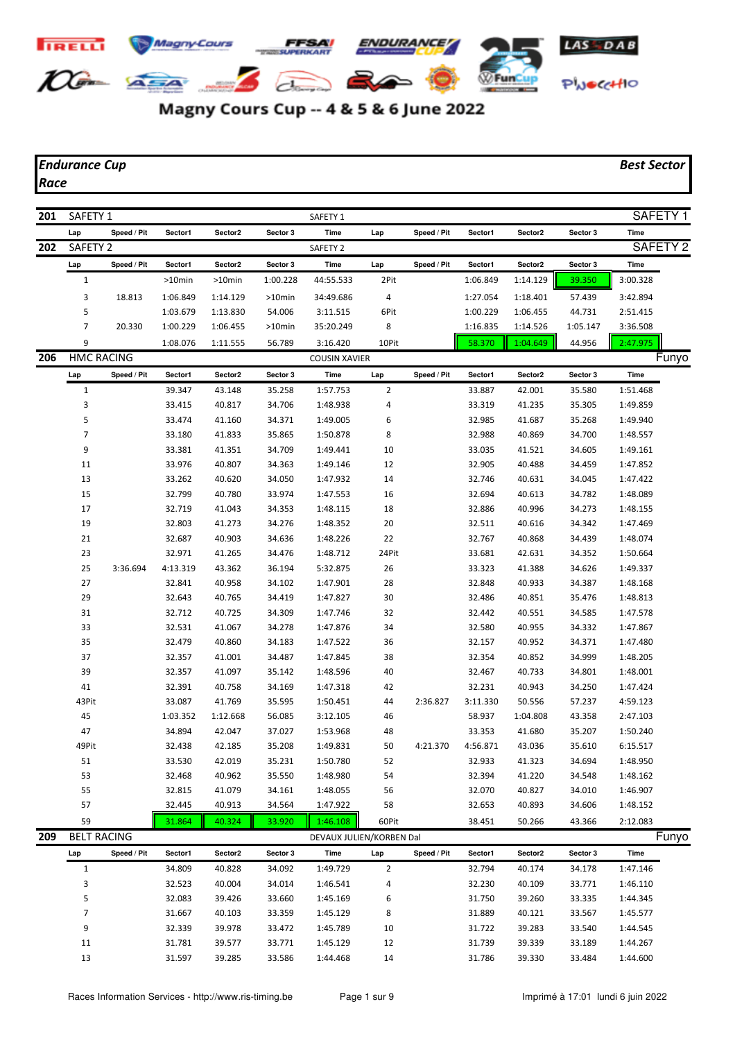## **Magny Cours** ENDURANCE **TRELL**  $10 - 24$ **WFunCup**  $\Rightarrow$ PWOCCHIO

Magny Cours Cup -- 4 & 5 & 6 June 2022

## *Endurance Cup Best Sector*

*Race*

| 201 | SAFETY <sub>1</sub> |             |          |          |           | SAFETY <sub>1</sub>      |                |             |          |          |          | SAFETY <sub>1</sub> |  |
|-----|---------------------|-------------|----------|----------|-----------|--------------------------|----------------|-------------|----------|----------|----------|---------------------|--|
|     | Lap                 | Speed / Pit | Sector1  | Sector2  | Sector 3  | Time                     | Lap            | Speed / Pit | Sector1  | Sector2  | Sector 3 | <b>Time</b>         |  |
| 202 | SAFETY <sub>2</sub> |             |          |          |           | SAFETY <sub>2</sub>      |                |             |          |          |          | SAFETY <sub>2</sub> |  |
|     | Lap                 | Speed / Pit | Sector1  | Sector2  | Sector 3  | Time                     | Lap            | Speed / Pit | Sector1  | Sector2  | Sector 3 | Time                |  |
|     | $\mathbf{1}$        |             | >10min   | >10min   | 1:00.228  | 44:55.533                | 2Pit           |             | 1:06.849 | 1:14.129 | 39.350   | 3:00.328            |  |
|     | 3                   | 18.813      | 1:06.849 | 1:14.129 | $>10$ min | 34:49.686                | 4              |             | 1:27.054 | 1:18.401 | 57.439   | 3:42.894            |  |
|     | 5                   |             | 1:03.679 | 1:13.830 | 54.006    | 3:11.515                 | 6Pit           |             | 1:00.229 | 1:06.455 | 44.731   | 2:51.415            |  |
|     | $\overline{7}$      | 20.330      | 1:00.229 | 1:06.455 | >10min    | 35:20.249                | 8              |             | 1:16.835 | 1:14.526 | 1:05.147 | 3:36.508            |  |
|     | 9                   |             | 1:08.076 | 1:11.555 | 56.789    | 3:16.420                 | 10Pit          |             | 58.370   | 1:04.649 | 44.956   | 2:47.975            |  |
| 206 | <b>HMC RACING</b>   |             |          |          |           | <b>COUSIN XAVIER</b>     |                |             |          |          |          | Funyo               |  |
|     | Lap                 | Speed / Pit | Sector1  | Sector2  | Sector 3  | Time                     | Lap            | Speed / Pit | Sector1  | Sector2  | Sector 3 | Time                |  |
|     | $\mathbf{1}$        |             | 39.347   | 43.148   | 35.258    | 1:57.753                 | 2              |             | 33.887   | 42.001   | 35.580   | 1:51.468            |  |
|     | 3                   |             | 33.415   | 40.817   | 34.706    | 1:48.938                 | 4              |             | 33.319   | 41.235   | 35.305   | 1:49.859            |  |
|     | 5                   |             | 33.474   | 41.160   | 34.371    | 1:49.005                 | 6              |             | 32.985   | 41.687   | 35.268   | 1:49.940            |  |
|     | 7                   |             | 33.180   | 41.833   | 35.865    | 1:50.878                 | 8              |             | 32.988   | 40.869   | 34.700   | 1:48.557            |  |
|     | 9                   |             | 33.381   | 41.351   | 34.709    | 1:49.441                 | 10             |             | 33.035   | 41.521   | 34.605   | 1:49.161            |  |
|     | 11                  |             | 33.976   | 40.807   | 34.363    | 1:49.146                 | 12             |             | 32.905   | 40.488   | 34.459   | 1:47.852            |  |
|     | 13                  |             | 33.262   | 40.620   | 34.050    | 1:47.932                 | 14             |             | 32.746   | 40.631   | 34.045   | 1:47.422            |  |
|     | 15                  |             | 32.799   | 40.780   | 33.974    | 1:47.553                 | 16             |             | 32.694   | 40.613   | 34.782   | 1:48.089            |  |
|     | 17                  |             | 32.719   | 41.043   | 34.353    | 1:48.115                 | 18             |             | 32.886   | 40.996   | 34.273   | 1:48.155            |  |
|     | 19                  |             | 32.803   | 41.273   | 34.276    | 1:48.352                 | 20             |             | 32.511   | 40.616   | 34.342   | 1:47.469            |  |
|     | 21                  |             | 32.687   | 40.903   | 34.636    | 1:48.226                 | 22             |             | 32.767   | 40.868   | 34.439   | 1:48.074            |  |
|     | 23                  |             | 32.971   | 41.265   | 34.476    | 1:48.712                 | 24Pit          |             | 33.681   | 42.631   | 34.352   | 1:50.664            |  |
|     | 25                  | 3:36.694    | 4:13.319 | 43.362   | 36.194    | 5:32.875                 | 26             |             | 33.323   | 41.388   | 34.626   | 1:49.337            |  |
|     | 27                  |             | 32.841   | 40.958   | 34.102    | 1:47.901                 | 28             |             | 32.848   | 40.933   | 34.387   | 1:48.168            |  |
|     | 29                  |             | 32.643   | 40.765   | 34.419    | 1:47.827                 | 30             |             | 32.486   | 40.851   | 35.476   | 1:48.813            |  |
|     | 31                  |             | 32.712   | 40.725   | 34.309    | 1:47.746                 | 32             |             | 32.442   | 40.551   | 34.585   | 1:47.578            |  |
|     | 33                  |             | 32.531   | 41.067   | 34.278    | 1:47.876                 | 34             |             | 32.580   | 40.955   | 34.332   | 1:47.867            |  |
|     | 35                  |             | 32.479   | 40.860   | 34.183    | 1:47.522                 | 36             |             | 32.157   | 40.952   | 34.371   | 1:47.480            |  |
|     | 37                  |             | 32.357   | 41.001   | 34.487    | 1:47.845                 | 38             |             | 32.354   | 40.852   | 34.999   | 1:48.205            |  |
|     | 39                  |             | 32.357   | 41.097   | 35.142    | 1:48.596                 | 40             |             | 32.467   | 40.733   | 34.801   | 1:48.001            |  |
|     | 41                  |             | 32.391   | 40.758   | 34.169    | 1:47.318                 | 42             |             | 32.231   | 40.943   | 34.250   | 1:47.424            |  |
|     | 43Pit               |             | 33.087   | 41.769   | 35.595    | 1:50.451                 | 44             | 2:36.827    | 3:11.330 | 50.556   | 57.237   | 4:59.123            |  |
|     | 45                  |             | 1:03.352 | 1:12.668 | 56.085    | 3:12.105                 | 46             |             | 58.937   | 1:04.808 | 43.358   | 2:47.103            |  |
|     | 47                  |             | 34.894   | 42.047   | 37.027    | 1:53.968                 | 48             |             | 33.353   | 41.680   | 35.207   | 1:50.240            |  |
|     | 49Pit               |             | 32.438   | 42.185   | 35.208    | 1:49.831                 | 50             | 4:21.370    | 4:56.871 | 43.036   | 35.610   | 6:15.517            |  |
|     | 51                  |             | 33.530   | 42.019   | 35.231    | 1:50.780                 | 52             |             | 32.933   | 41.323   | 34.694   | 1:48.950            |  |
|     | 53                  |             | 32.468   | 40.962   | 35.550    | 1:48.980                 | 54             |             | 32.394   | 41.220   | 34.548   | 1:48.162            |  |
|     | 55                  |             | 32.815   | 41.079   | 34.161    | 1:48.055                 | 56             |             | 32.070   | 40.827   | 34.010   | 1:46.907            |  |
|     | 57                  |             | 32.445   | 40.913   | 34.564    | 1:47.922                 | 58             |             | 32.653   | 40.893   | 34.606   | 1:48.152            |  |
|     | 59                  |             | 31.864   | 40.324   | 33.920    | 1:46.108                 | 60Pit          |             | 38.451   | 50.266   | 43.366   | 2:12.083            |  |
| 209 | <b>BELT RACING</b>  |             |          |          |           | DEVAUX JULIEN/KORBEN Dal |                |             |          |          |          | Funyo               |  |
|     | Lap                 | Speed / Pit | Sector1  | Sector2  | Sector 3  | Time                     | Lap            | Speed / Pit | Sector1  | Sector2  | Sector 3 | Time                |  |
|     | $\mathbf{1}$        |             | 34.809   | 40.828   | 34.092    | 1:49.729                 | $\overline{2}$ |             | 32.794   | 40.174   | 34.178   | 1:47.146            |  |
|     | 3                   |             | 32.523   | 40.004   | 34.014    | 1:46.541                 | 4              |             | 32.230   | 40.109   | 33.771   | 1:46.110            |  |
|     | 5                   |             | 32.083   | 39.426   | 33.660    | 1:45.169                 | 6              |             | 31.750   | 39.260   | 33.335   | 1:44.345            |  |
|     | 7                   |             | 31.667   | 40.103   | 33.359    | 1:45.129                 | 8              |             | 31.889   | 40.121   | 33.567   | 1:45.577            |  |
|     | 9                   |             | 32.339   | 39.978   | 33.472    | 1:45.789                 | 10             |             | 31.722   | 39.283   | 33.540   | 1:44.545            |  |
|     | 11                  |             | 31.781   | 39.577   | 33.771    | 1:45.129                 | 12             |             | 31.739   | 39.339   | 33.189   | 1:44.267            |  |
|     | 13                  |             | 31.597   | 39.285   | 33.586    | 1:44.468                 | 14             |             | 31.786   | 39.330   | 33.484   | 1:44.600            |  |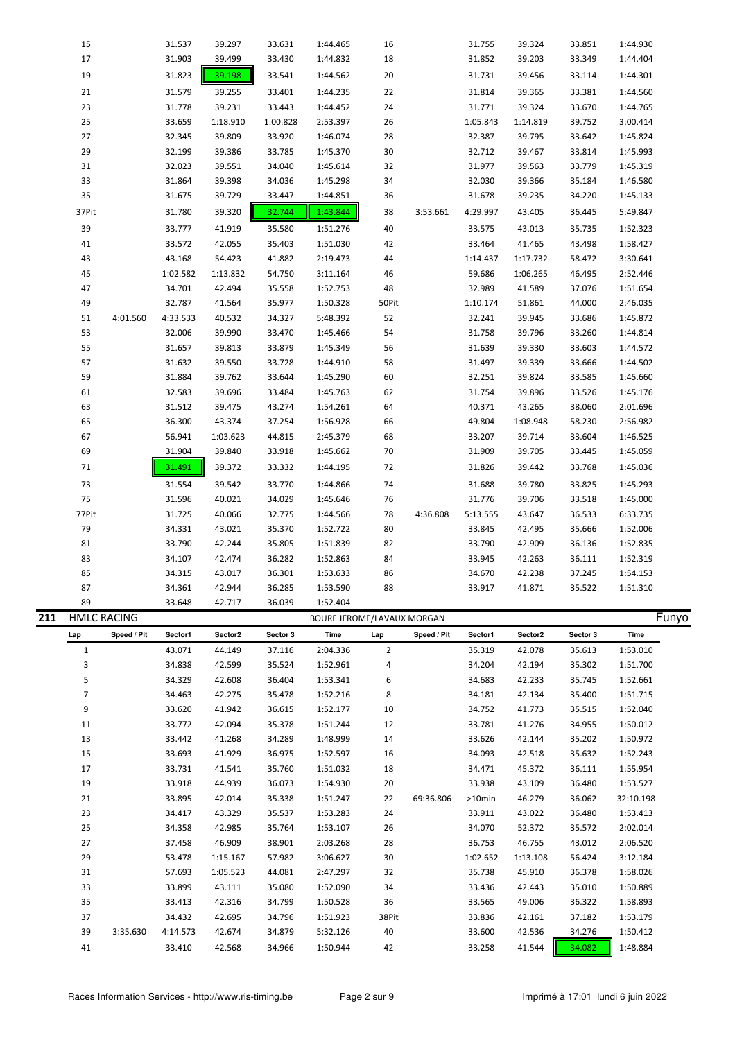|     | 15                 |             | 31.537   | 39.297   | 33.631   | 1:44.465                   | 16             |             | 31.755   | 39.324           | 33.851   | 1:44.930             |       |
|-----|--------------------|-------------|----------|----------|----------|----------------------------|----------------|-------------|----------|------------------|----------|----------------------|-------|
|     | 17                 |             | 31.903   | 39.499   | 33.430   | 1:44.832                   | 18             |             | 31.852   | 39.203           | 33.349   | 1:44.404             |       |
|     | 19                 |             | 31.823   | 39.198   | 33.541   | 1:44.562                   | 20             |             | 31.731   | 39.456           | 33.114   | 1:44.301             |       |
|     | 21                 |             | 31.579   | 39.255   | 33.401   | 1:44.235                   | 22             |             | 31.814   | 39.365           | 33.381   | 1:44.560             |       |
|     | 23                 |             | 31.778   | 39.231   | 33.443   | 1:44.452                   | 24             |             | 31.771   | 39.324           | 33.670   | 1:44.765             |       |
|     | 25                 |             | 33.659   | 1:18.910 | 1:00.828 | 2:53.397                   | 26             |             | 1:05.843 | 1:14.819         | 39.752   | 3:00.414             |       |
|     | 27                 |             | 32.345   | 39.809   | 33.920   | 1:46.074                   | 28             |             | 32.387   | 39.795           | 33.642   | 1:45.824             |       |
|     | 29                 |             | 32.199   | 39.386   | 33.785   | 1:45.370                   | 30             |             | 32.712   | 39.467           | 33.814   | 1:45.993             |       |
|     | 31                 |             | 32.023   | 39.551   | 34.040   | 1:45.614                   | 32             |             | 31.977   | 39.563           | 33.779   | 1:45.319             |       |
|     | 33                 |             | 31.864   | 39.398   | 34.036   | 1:45.298                   | 34             |             | 32.030   | 39.366           | 35.184   | 1:46.580             |       |
|     | 35                 |             | 31.675   | 39.729   | 33.447   | 1:44.851                   | 36             |             | 31.678   | 39.235           | 34.220   | 1:45.133             |       |
|     | 37Pit              |             | 31.780   | 39.320   | 32.744   | 1:43.844                   | 38             | 3:53.661    | 4:29.997 | 43.405           | 36.445   | 5:49.847             |       |
|     | 39                 |             | 33.777   | 41.919   | 35.580   | 1:51.276                   | 40             |             | 33.575   | 43.013           | 35.735   | 1:52.323             |       |
|     | 41                 |             | 33.572   | 42.055   | 35.403   | 1:51.030                   | 42             |             | 33.464   | 41.465           | 43.498   | 1:58.427             |       |
|     | 43                 |             | 43.168   | 54.423   | 41.882   | 2:19.473                   | 44             |             | 1:14.437 | 1:17.732         | 58.472   | 3:30.641             |       |
|     | 45                 |             | 1:02.582 | 1:13.832 | 54.750   | 3:11.164                   | 46             |             | 59.686   | 1:06.265         | 46.495   | 2:52.446             |       |
|     | 47                 |             | 34.701   | 42.494   | 35.558   | 1:52.753                   | 48             |             | 32.989   | 41.589           | 37.076   | 1:51.654             |       |
|     | 49                 |             | 32.787   | 41.564   | 35.977   | 1:50.328                   | 50Pit          |             | 1:10.174 | 51.861           | 44.000   | 2:46.035             |       |
|     | 51                 | 4:01.560    | 4:33.533 | 40.532   | 34.327   | 5:48.392                   | 52             |             | 32.241   | 39.945           | 33.686   | 1:45.872             |       |
|     | 53                 |             | 32.006   | 39.990   | 33.470   | 1:45.466                   | 54             |             | 31.758   | 39.796           | 33.260   | 1:44.814             |       |
|     | 55                 |             | 31.657   | 39.813   | 33.879   | 1:45.349                   | 56             |             | 31.639   | 39.330           | 33.603   | 1:44.572             |       |
|     | 57                 |             | 31.632   | 39.550   | 33.728   | 1:44.910                   | 58             |             | 31.497   | 39.339           | 33.666   | 1:44.502             |       |
|     | 59                 |             | 31.884   | 39.762   | 33.644   | 1:45.290                   | 60             |             | 32.251   | 39.824           | 33.585   | 1:45.660             |       |
|     | 61                 |             | 32.583   | 39.696   | 33.484   | 1:45.763                   | 62             |             | 31.754   | 39.896           | 33.526   | 1:45.176             |       |
|     | 63                 |             | 31.512   | 39.475   | 43.274   | 1:54.261                   | 64             |             | 40.371   | 43.265           | 38.060   | 2:01.696             |       |
|     | 65                 |             | 36.300   | 43.374   | 37.254   | 1:56.928                   | 66             |             | 49.804   | 1:08.948         | 58.230   | 2:56.982             |       |
|     | 67                 |             | 56.941   | 1:03.623 | 44.815   | 2:45.379                   | 68             |             | 33.207   | 39.714           | 33.604   | 1:46.525             |       |
|     | 69                 |             | 31.904   | 39.840   | 33.918   | 1:45.662                   | 70             |             | 31.909   | 39.705           | 33.445   | 1:45.059             |       |
|     | 71                 |             | 31.491   | 39.372   | 33.332   | 1:44.195                   | 72             |             | 31.826   | 39.442           | 33.768   | 1:45.036             |       |
|     | 73                 |             | 31.554   | 39.542   | 33.770   | 1:44.866                   | 74             |             | 31.688   | 39.780           | 33.825   | 1:45.293             |       |
|     | 75                 |             | 31.596   | 40.021   | 34.029   | 1:45.646                   | 76             |             | 31.776   | 39.706           | 33.518   | 1:45.000             |       |
|     | 77Pit              |             | 31.725   | 40.066   | 32.775   | 1:44.566                   | 78             | 4:36.808    | 5:13.555 | 43.647           | 36.533   | 6:33.735             |       |
|     | 79                 |             | 34.331   | 43.021   | 35.370   | 1:52.722                   | 80             |             | 33.845   | 42.495           | 35.666   | 1:52.006             |       |
|     | 81                 |             | 33.790   | 42.244   | 35.805   | 1:51.839                   | 82             |             | 33.790   | 42.909           | 36.136   | 1:52.835             |       |
|     | 83                 |             | 34.107   | 42.474   | 36.282   | 1:52.863                   | 84             |             | 33.945   | 42.263           | 36.111   | 1:52.319             |       |
|     | 85                 |             | 34.315   | 43.017   | 36.301   | 1:53.633                   | 86             |             | 34.670   | 42.238           | 37.245   | 1:54.153             |       |
|     | 87                 |             | 34.361   | 42.944   | 36.285   | 1:53.590                   | 88             |             | 33.917   | 41.871           | 35.522   | 1:51.310             |       |
|     | 89                 |             | 33.648   | 42.717   | 36.039   | 1:52.404                   |                |             |          |                  |          |                      |       |
| 211 | <b>HMLC RACING</b> |             |          |          |          | BOURE JEROME/LAVAUX MORGAN |                |             |          |                  |          |                      | Funyo |
|     | Lap                | Speed / Pit | Sector1  | Sector2  | Sector 3 | Time                       | Lap            | Speed / Pit | Sector1  | Sector2          | Sector 3 | Time                 |       |
|     | $\mathbf{1}$       |             | 43.071   | 44.149   | 37.116   | 2:04.336                   | $\overline{2}$ |             | 35.319   | 42.078           | 35.613   | 1:53.010             |       |
|     | 3                  |             | 34.838   | 42.599   | 35.524   | 1:52.961                   | 4              |             | 34.204   | 42.194           | 35.302   | 1:51.700             |       |
|     | 5                  |             | 34.329   | 42.608   | 36.404   | 1:53.341                   | 6              |             | 34.683   | 42.233           | 35.745   | 1:52.661             |       |
|     | $\overline{7}$     |             | 34.463   | 42.275   | 35.478   | 1:52.216                   | 8              |             | 34.181   | 42.134           | 35.400   | 1:51.715             |       |
|     | 9                  |             | 33.620   | 41.942   | 36.615   | 1:52.177                   | 10             |             | 34.752   | 41.773           | 35.515   | 1:52.040             |       |
|     | 11                 |             | 33.772   | 42.094   | 35.378   | 1:51.244                   | 12             |             | 33.781   | 41.276           | 34.955   | 1:50.012             |       |
|     | 13                 |             | 33.442   | 41.268   | 34.289   | 1:48.999                   | 14             |             | 33.626   | 42.144           | 35.202   | 1:50.972             |       |
|     | 15                 |             | 33.693   | 41.929   | 36.975   | 1:52.597                   | 16             |             | 34.093   | 42.518           | 35.632   | 1:52.243             |       |
|     | 17                 |             | 33.731   | 41.541   | 35.760   | 1:51.032                   | 18             |             | 34.471   | 45.372           | 36.111   | 1:55.954             |       |
|     | 19                 |             | 33.918   | 44.939   | 36.073   | 1:54.930                   | 20             |             | 33.938   | 43.109           | 36.480   | 1:53.527             |       |
|     | 21                 |             | 33.895   | 42.014   | 35.338   | 1:51.247                   | 22             | 69:36.806   | >10min   | 46.279           | 36.062   | 32:10.198            |       |
|     | 23                 |             | 34.417   | 43.329   | 35.537   | 1:53.283                   | 24             |             | 33.911   | 43.022           | 36.480   | 1:53.413             |       |
|     | 25                 |             | 34.358   | 42.985   | 35.764   | 1:53.107                   | 26             |             | 34.070   | 52.372           | 35.572   | 2:02.014             |       |
|     | 27                 |             | 37.458   | 46.909   | 38.901   | 2:03.268                   | 28             |             | 36.753   | 46.755           | 43.012   | 2:06.520             |       |
|     | 29                 |             | 53.478   | 1:15.167 | 57.982   | 3:06.627                   | 30             |             | 1:02.652 | 1:13.108         | 56.424   | 3:12.184             |       |
|     | 31                 |             | 57.693   | 1:05.523 | 44.081   | 2:47.297                   | 32             |             | 35.738   | 45.910           | 36.378   | 1:58.026             |       |
|     | 33                 |             | 33.899   | 43.111   | 35.080   | 1:52.090                   | 34             |             | 33.436   | 42.443           | 35.010   | 1:50.889             |       |
|     | 35                 |             | 33.413   | 42.316   | 34.799   | 1:50.528                   | 36             |             | 33.565   | 49.006           | 36.322   | 1:58.893             |       |
|     |                    |             |          |          |          |                            |                |             |          |                  |          |                      |       |
|     | 37                 |             | 34.432   | 42.695   | 34.796   | 1:51.923                   | 38Pit          |             | 33.836   | 42.161           | 37.182   | 1:53.179             |       |
|     | 39                 | 3:35.630    | 4:14.573 | 42.674   | 34.879   | 5:32.126                   | 40             |             | 33.600   | 42.536<br>41.544 | 34.276   | 1:50.412<br>1:48.884 |       |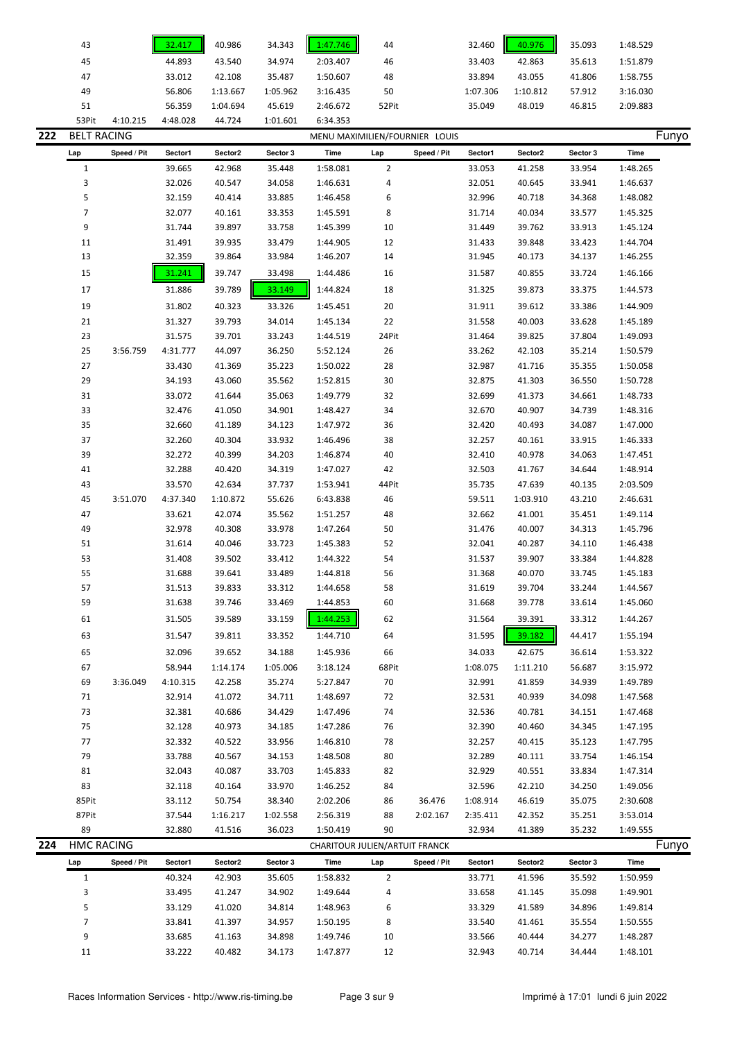|     | 43                 |             | 32.417   | 40.986   | 34.343   | 1:47.746                       | 44             |             | 32.460   | 40.976   | 35.093   | 1:48.529 |
|-----|--------------------|-------------|----------|----------|----------|--------------------------------|----------------|-------------|----------|----------|----------|----------|
|     | 45                 |             | 44.893   | 43.540   | 34.974   | 2:03.407                       | 46             |             | 33.403   | 42.863   | 35.613   | 1:51.879 |
|     | 47                 |             | 33.012   | 42.108   | 35.487   | 1:50.607                       | 48             |             | 33.894   | 43.055   | 41.806   | 1:58.755 |
|     | 49                 |             | 56.806   | 1:13.667 | 1:05.962 | 3:16.435                       | 50             |             | 1:07.306 | 1:10.812 | 57.912   | 3:16.030 |
|     | 51                 |             | 56.359   | 1:04.694 | 45.619   | 2:46.672                       | 52Pit          |             | 35.049   | 48.019   | 46.815   | 2:09.883 |
|     | 53Pit              | 4:10.215    | 4:48.028 | 44.724   | 1:01.601 | 6:34.353                       |                |             |          |          |          |          |
| 222 | <b>BELT RACING</b> |             |          |          |          | MENU MAXIMILIEN/FOURNIER LOUIS |                |             |          |          |          | Funyo    |
|     | Lap                | Speed / Pit | Sector1  | Sector2  | Sector 3 | <b>Time</b>                    | Lap            | Speed / Pit | Sector1  | Sector2  | Sector 3 | Time     |
|     | $\mathbf{1}$       |             | 39.665   | 42.968   | 35.448   | 1:58.081                       | $\overline{2}$ |             | 33.053   | 41.258   | 33.954   | 1:48.265 |
|     | 3                  |             | 32.026   | 40.547   | 34.058   | 1:46.631                       |                |             | 32.051   | 40.645   | 33.941   | 1:46.637 |
|     | 5                  |             | 32.159   | 40.414   | 33.885   | 1:46.458                       | 4<br>6         |             | 32.996   | 40.718   | 34.368   | 1:48.082 |
|     | $\overline{7}$     |             | 32.077   | 40.161   | 33.353   | 1:45.591                       | 8              |             | 31.714   | 40.034   | 33.577   | 1:45.325 |
|     | 9                  |             | 31.744   | 39.897   | 33.758   | 1:45.399                       | 10             |             | 31.449   | 39.762   | 33.913   | 1:45.124 |
|     | 11                 |             | 31.491   | 39.935   | 33.479   | 1:44.905                       | 12             |             | 31.433   | 39.848   | 33.423   | 1:44.704 |
|     | 13                 |             | 32.359   | 39.864   | 33.984   | 1:46.207                       | 14             |             | 31.945   | 40.173   | 34.137   | 1:46.255 |
|     |                    |             |          |          |          |                                |                |             |          |          |          |          |
|     | 15                 |             | 31.241   | 39.747   | 33.498   | 1:44.486                       | 16             |             | 31.587   | 40.855   | 33.724   | 1:46.166 |
|     | 17                 |             | 31.886   | 39.789   | 33.149   | 1:44.824                       | 18             |             | 31.325   | 39.873   | 33.375   | 1:44.573 |
|     | 19                 |             | 31.802   | 40.323   | 33.326   | 1:45.451                       | 20             |             | 31.911   | 39.612   | 33.386   | 1:44.909 |
|     | 21                 |             | 31.327   | 39.793   | 34.014   | 1:45.134                       | 22             |             | 31.558   | 40.003   | 33.628   | 1:45.189 |
|     | 23                 |             | 31.575   | 39.701   | 33.243   | 1:44.519                       | 24Pit          |             | 31.464   | 39.825   | 37.804   | 1:49.093 |
|     | 25                 | 3:56.759    | 4:31.777 | 44.097   | 36.250   | 5:52.124                       | 26             |             | 33.262   | 42.103   | 35.214   | 1:50.579 |
|     | 27                 |             | 33.430   | 41.369   | 35.223   | 1:50.022                       | 28             |             | 32.987   | 41.716   | 35.355   | 1:50.058 |
|     | 29                 |             | 34.193   | 43.060   | 35.562   | 1:52.815                       | 30             |             | 32.875   | 41.303   | 36.550   | 1:50.728 |
|     | 31                 |             | 33.072   | 41.644   | 35.063   | 1:49.779                       | 32             |             | 32.699   | 41.373   | 34.661   | 1:48.733 |
|     | 33                 |             | 32.476   | 41.050   | 34.901   | 1:48.427                       | 34             |             | 32.670   | 40.907   | 34.739   | 1:48.316 |
|     | 35                 |             | 32.660   | 41.189   | 34.123   | 1:47.972                       | 36             |             | 32.420   | 40.493   | 34.087   | 1:47.000 |
|     | 37                 |             | 32.260   | 40.304   | 33.932   | 1:46.496                       | 38             |             | 32.257   | 40.161   | 33.915   | 1:46.333 |
|     | 39                 |             | 32.272   | 40.399   | 34.203   | 1:46.874                       | 40             |             | 32.410   | 40.978   | 34.063   | 1:47.451 |
|     | 41                 |             | 32.288   | 40.420   | 34.319   | 1:47.027                       | 42             |             | 32.503   | 41.767   | 34.644   | 1:48.914 |
|     | 43                 |             | 33.570   | 42.634   | 37.737   | 1:53.941                       | 44Pit          |             | 35.735   | 47.639   | 40.135   | 2:03.509 |
|     | 45                 | 3:51.070    | 4:37.340 | 1:10.872 | 55.626   | 6:43.838                       | 46             |             | 59.511   | 1:03.910 | 43.210   | 2:46.631 |
|     | 47                 |             | 33.621   | 42.074   | 35.562   | 1:51.257                       | 48             |             | 32.662   | 41.001   | 35.451   | 1:49.114 |
|     | 49                 |             | 32.978   | 40.308   | 33.978   | 1:47.264                       | 50             |             | 31.476   | 40.007   | 34.313   | 1:45.796 |
|     | 51                 |             | 31.614   | 40.046   | 33.723   | 1:45.383                       | 52             |             | 32.041   | 40.287   | 34.110   | 1:46.438 |
|     | 53                 |             | 31.408   | 39.502   | 33.412   | 1:44.322                       | 54             |             | 31.537   | 39.907   | 33.384   | 1:44.828 |
|     | 55                 |             | 31.688   | 39.641   | 33.489   | 1:44.818                       | 56             |             | 31.368   | 40.070   | 33.745   | 1:45.183 |
|     | 57                 |             | 31.513   | 39.833   | 33.312   | 1:44.658                       | 58             |             | 31.619   | 39.704   | 33.244   | 1:44.567 |
|     | 59                 |             | 31.638   | 39.746   | 33.469   | 1:44.853                       | 60             |             | 31.668   | 39.778   | 33.614   | 1:45.060 |
|     | 61                 |             | 31.505   | 39.589   | 33.159   | 1:44.253                       | 62             |             | 31.564   | 39.391   | 33.312   | 1:44.267 |
|     | 63                 |             | 31.547   | 39.811   | 33.352   | 1:44.710                       | 64             |             | 31.595   | 39.182   | 44.417   | 1:55.194 |
|     | 65                 |             | 32.096   | 39.652   | 34.188   | 1:45.936                       | 66             |             | 34.033   | 42.675   | 36.614   | 1:53.322 |
|     | 67                 |             | 58.944   | 1:14.174 | 1:05.006 | 3:18.124                       | 68Pit          |             | 1:08.075 | 1:11.210 | 56.687   | 3:15.972 |
|     | 69                 | 3:36.049    | 4:10.315 | 42.258   | 35.274   | 5:27.847                       | 70             |             | 32.991   | 41.859   | 34.939   | 1:49.789 |
|     | 71                 |             | 32.914   | 41.072   | 34.711   | 1:48.697                       | 72             |             | 32.531   | 40.939   | 34.098   | 1:47.568 |
|     | 73                 |             | 32.381   | 40.686   | 34.429   | 1:47.496                       | 74             |             | 32.536   | 40.781   | 34.151   | 1:47.468 |
|     | 75                 |             | 32.128   | 40.973   | 34.185   | 1:47.286                       | 76             |             | 32.390   | 40.460   | 34.345   | 1:47.195 |
|     | 77                 |             | 32.332   | 40.522   | 33.956   | 1:46.810                       | 78             |             | 32.257   | 40.415   | 35.123   | 1:47.795 |
|     | 79                 |             | 33.788   | 40.567   | 34.153   | 1:48.508                       | 80             |             | 32.289   | 40.111   | 33.754   | 1:46.154 |
|     | 81                 |             | 32.043   | 40.087   | 33.703   | 1:45.833                       | 82             |             | 32.929   | 40.551   | 33.834   | 1:47.314 |
|     | 83                 |             | 32.118   | 40.164   | 33.970   | 1:46.252                       | 84             |             | 32.596   | 42.210   | 34.250   | 1:49.056 |
|     | 85Pit              |             | 33.112   | 50.754   | 38.340   | 2:02.206                       | 86             | 36.476      | 1:08.914 | 46.619   | 35.075   | 2:30.608 |
|     | 87Pit              |             | 37.544   | 1:16.217 | 1:02.558 | 2:56.319                       | 88             | 2:02.167    | 2:35.411 | 42.352   | 35.251   | 3:53.014 |
|     | 89                 |             | 32.880   | 41.516   | 36.023   | 1:50.419                       | 90             |             | 32.934   | 41.389   | 35.232   | 1:49.555 |
| 224 | <b>HMC RACING</b>  |             |          |          |          | CHARITOUR JULIEN/ARTUIT FRANCK |                |             |          |          |          | Funyo    |
|     | Lap                | Speed / Pit | Sector1  | Sector2  | Sector 3 | Time                           | Lap            | Speed / Pit | Sector1  | Sector2  | Sector 3 | Time     |
|     | $\mathbf{1}$       |             | 40.324   | 42.903   | 35.605   | 1:58.832                       | $\overline{2}$ |             | 33.771   | 41.596   | 35.592   | 1:50.959 |
|     | 3                  |             | 33.495   | 41.247   | 34.902   | 1:49.644                       | 4              |             | 33.658   | 41.145   | 35.098   | 1:49.901 |
|     | 5                  |             | 33.129   | 41.020   | 34.814   | 1:48.963                       | 6              |             | 33.329   | 41.589   | 34.896   | 1:49.814 |
|     | $\overline{7}$     |             | 33.841   | 41.397   | 34.957   | 1:50.195                       | 8              |             | 33.540   | 41.461   | 35.554   | 1:50.555 |
|     | 9                  |             | 33.685   | 41.163   | 34.898   | 1:49.746                       | 10             |             | 33.566   | 40.444   | 34.277   | 1:48.287 |
|     | 11                 |             | 33.222   | 40.482   | 34.173   | 1:47.877                       | 12             |             | 32.943   | 40.714   | 34.444   | 1:48.101 |
|     |                    |             |          |          |          |                                |                |             |          |          |          |          |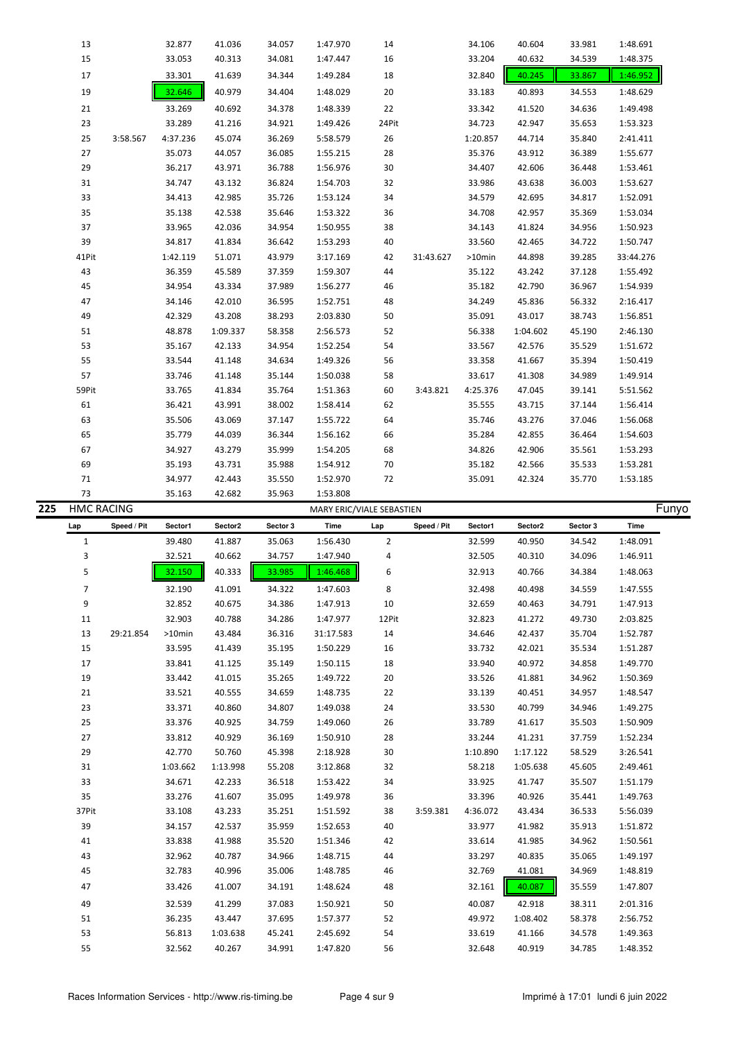| 13    |          | 32.877   | 41.036   | 34.057 | 1:47.970 | 14    |           | 34.106    | 40.604   | 33.981 | 1:48.691  |
|-------|----------|----------|----------|--------|----------|-------|-----------|-----------|----------|--------|-----------|
| 15    |          | 33.053   | 40.313   | 34.081 | 1:47.447 | 16    |           | 33.204    | 40.632   | 34.539 | 1:48.375  |
| 17    |          | 33.301   | 41.639   | 34.344 | 1:49.284 | 18    |           | 32.840    | 40.245   | 33.867 | 1:46.952  |
| 19    |          | 32.646   | 40.979   | 34.404 | 1:48.029 | 20    |           | 33.183    | 40.893   | 34.553 | 1:48.629  |
| 21    |          | 33.269   | 40.692   | 34.378 | 1:48.339 | 22    |           | 33.342    | 41.520   | 34.636 | 1:49.498  |
| 23    |          | 33.289   | 41.216   | 34.921 | 1:49.426 | 24Pit |           | 34.723    | 42.947   | 35.653 | 1:53.323  |
| 25    | 3:58.567 | 4:37.236 | 45.074   | 36.269 | 5:58.579 | 26    |           | 1:20.857  | 44.714   | 35.840 | 2:41.411  |
| 27    |          | 35.073   | 44.057   | 36.085 | 1:55.215 | 28    |           | 35.376    | 43.912   | 36.389 | 1:55.677  |
| 29    |          | 36.217   | 43.971   | 36.788 | 1:56.976 | 30    |           | 34.407    | 42.606   | 36.448 | 1:53.461  |
| 31    |          | 34.747   | 43.132   | 36.824 | 1:54.703 | 32    |           | 33.986    | 43.638   | 36.003 | 1:53.627  |
| 33    |          | 34.413   | 42.985   | 35.726 | 1:53.124 | 34    |           | 34.579    | 42.695   | 34.817 | 1:52.091  |
| 35    |          | 35.138   | 42.538   | 35.646 | 1:53.322 | 36    |           | 34.708    | 42.957   | 35.369 | 1:53.034  |
| 37    |          | 33.965   | 42.036   | 34.954 | 1:50.955 | 38    |           | 34.143    | 41.824   | 34.956 | 1:50.923  |
| 39    |          | 34.817   | 41.834   | 36.642 | 1:53.293 | 40    |           | 33.560    | 42.465   | 34.722 | 1:50.747  |
| 41Pit |          | 1:42.119 | 51.071   | 43.979 | 3:17.169 | 42    | 31:43.627 | $>10$ min | 44.898   | 39.285 | 33:44.276 |
| 43    |          | 36.359   | 45.589   | 37.359 | 1:59.307 | 44    |           | 35.122    | 43.242   | 37.128 | 1:55.492  |
| 45    |          | 34.954   | 43.334   | 37.989 | 1:56.277 | 46    |           | 35.182    | 42.790   | 36.967 | 1:54.939  |
| 47    |          | 34.146   | 42.010   | 36.595 | 1:52.751 | 48    |           | 34.249    | 45.836   | 56.332 | 2:16.417  |
| 49    |          | 42.329   | 43.208   | 38.293 | 2:03.830 | 50    |           | 35.091    | 43.017   | 38.743 | 1:56.851  |
| 51    |          | 48.878   | 1:09.337 | 58.358 | 2:56.573 | 52    |           | 56.338    | 1:04.602 | 45.190 | 2:46.130  |
| 53    |          | 35.167   | 42.133   | 34.954 | 1:52.254 | 54    |           | 33.567    | 42.576   | 35.529 | 1:51.672  |
| 55    |          | 33.544   | 41.148   | 34.634 | 1:49.326 | 56    |           | 33.358    | 41.667   | 35.394 | 1:50.419  |
| 57    |          | 33.746   | 41.148   | 35.144 | 1:50.038 | 58    |           | 33.617    | 41.308   | 34.989 | 1:49.914  |
| 59Pit |          | 33.765   | 41.834   | 35.764 | 1:51.363 | 60    | 3:43.821  | 4:25.376  | 47.045   | 39.141 | 5:51.562  |
| 61    |          | 36.421   | 43.991   | 38.002 | 1:58.414 | 62    |           | 35.555    | 43.715   | 37.144 | 1:56.414  |
| 63    |          | 35.506   | 43.069   | 37.147 | 1:55.722 | 64    |           | 35.746    | 43.276   | 37.046 | 1:56.068  |
| 65    |          | 35.779   | 44.039   | 36.344 | 1:56.162 | 66    |           | 35.284    | 42.855   | 36.464 | 1:54.603  |
| 67    |          | 34.927   | 43.279   | 35.999 | 1:54.205 | 68    |           | 34.826    | 42.906   | 35.561 | 1:53.293  |
| 69    |          | 35.193   | 43.731   | 35.988 | 1:54.912 | 70    |           | 35.182    | 42.566   | 35.533 | 1:53.281  |
| 71    |          | 34.977   | 42.443   | 35.550 | 1:52.970 | 72    |           | 35.091    | 42.324   | 35.770 | 1:53.185  |
| 73    |          | 35.163   | 42.682   | 35.963 | 1:53.808 |       |           |           |          |        |           |

| 225 | <b>HMC RACING</b> |             |           |          |          | MARY ERIC/VIALE SEBASTIEN |                |             |          |          |          |          | Funyo |
|-----|-------------------|-------------|-----------|----------|----------|---------------------------|----------------|-------------|----------|----------|----------|----------|-------|
|     | Lap               | Speed / Pit | Sector1   | Sector2  | Sector 3 | Time                      | Lap            | Speed / Pit | Sector1  | Sector2  | Sector 3 | Time     |       |
|     | $\mathbf{1}$      |             | 39.480    | 41.887   | 35.063   | 1:56.430                  | $\overline{2}$ |             | 32.599   | 40.950   | 34.542   | 1:48.091 |       |
|     | 3                 |             | 32.521    | 40.662   | 34.757   | 1:47.940                  | 4              |             | 32.505   | 40.310   | 34.096   | 1:46.911 |       |
|     | 5                 |             | 32.150    | 40.333   | 33.985   | 1:46.468                  | 6              |             | 32.913   | 40.766   | 34.384   | 1:48.063 |       |
|     | $\overline{7}$    |             | 32.190    | 41.091   | 34.322   | 1:47.603                  | 8              |             | 32.498   | 40.498   | 34.559   | 1:47.555 |       |
|     | 9                 |             | 32.852    | 40.675   | 34.386   | 1:47.913                  | 10             |             | 32.659   | 40.463   | 34.791   | 1:47.913 |       |
|     | 11                |             | 32.903    | 40.788   | 34.286   | 1:47.977                  | 12Pit          |             | 32.823   | 41.272   | 49.730   | 2:03.825 |       |
|     | 13                | 29:21.854   | $>10$ min | 43.484   | 36.316   | 31:17.583                 | 14             |             | 34.646   | 42.437   | 35.704   | 1:52.787 |       |
|     | 15                |             | 33.595    | 41.439   | 35.195   | 1:50.229                  | 16             |             | 33.732   | 42.021   | 35.534   | 1:51.287 |       |
|     | 17                |             | 33.841    | 41.125   | 35.149   | 1:50.115                  | 18             |             | 33.940   | 40.972   | 34.858   | 1:49.770 |       |
|     | 19                |             | 33.442    | 41.015   | 35.265   | 1:49.722                  | 20             |             | 33.526   | 41.881   | 34.962   | 1:50.369 |       |
|     | 21                |             | 33.521    | 40.555   | 34.659   | 1:48.735                  | 22             |             | 33.139   | 40.451   | 34.957   | 1:48.547 |       |
|     | 23                |             | 33.371    | 40.860   | 34.807   | 1:49.038                  | 24             |             | 33.530   | 40.799   | 34.946   | 1:49.275 |       |
|     | 25                |             | 33.376    | 40.925   | 34.759   | 1:49.060                  | 26             |             | 33.789   | 41.617   | 35.503   | 1:50.909 |       |
|     | 27                |             | 33.812    | 40.929   | 36.169   | 1:50.910                  | 28             |             | 33.244   | 41.231   | 37.759   | 1:52.234 |       |
|     | 29                |             | 42.770    | 50.760   | 45.398   | 2:18.928                  | 30             |             | 1:10.890 | 1:17.122 | 58.529   | 3:26.541 |       |
|     | 31                |             | 1:03.662  | 1:13.998 | 55.208   | 3:12.868                  | 32             |             | 58.218   | 1:05.638 | 45.605   | 2:49.461 |       |
|     | 33                |             | 34.671    | 42.233   | 36.518   | 1:53.422                  | 34             |             | 33.925   | 41.747   | 35.507   | 1:51.179 |       |
|     | 35                |             | 33.276    | 41.607   | 35.095   | 1:49.978                  | 36             |             | 33.396   | 40.926   | 35.441   | 1:49.763 |       |
|     | 37Pit             |             | 33.108    | 43.233   | 35.251   | 1:51.592                  | 38             | 3:59.381    | 4:36.072 | 43.434   | 36.533   | 5:56.039 |       |
|     | 39                |             | 34.157    | 42.537   | 35.959   | 1:52.653                  | 40             |             | 33.977   | 41.982   | 35.913   | 1:51.872 |       |
|     | 41                |             | 33.838    | 41.988   | 35.520   | 1:51.346                  | 42             |             | 33.614   | 41.985   | 34.962   | 1:50.561 |       |
|     | 43                |             | 32.962    | 40.787   | 34.966   | 1:48.715                  | 44             |             | 33.297   | 40.835   | 35.065   | 1:49.197 |       |
|     | 45                |             | 32.783    | 40.996   | 35.006   | 1:48.785                  | 46             |             | 32.769   | 41.081   | 34.969   | 1:48.819 |       |
|     | 47                |             | 33.426    | 41.007   | 34.191   | 1:48.624                  | 48             |             | 32.161   | 40.087   | 35.559   | 1:47.807 |       |
|     | 49                |             | 32.539    | 41.299   | 37.083   | 1:50.921                  | 50             |             | 40.087   | 42.918   | 38.311   | 2:01.316 |       |
|     | 51                |             | 36.235    | 43.447   | 37.695   | 1:57.377                  | 52             |             | 49.972   | 1:08.402 | 58.378   | 2:56.752 |       |
|     | 53                |             | 56.813    | 1:03.638 | 45.241   | 2:45.692                  | 54             |             | 33.619   | 41.166   | 34.578   | 1:49.363 |       |
|     | 55                |             | 32.562    | 40.267   | 34.991   | 1:47.820                  | 56             |             | 32.648   | 40.919   | 34.785   | 1:48.352 |       |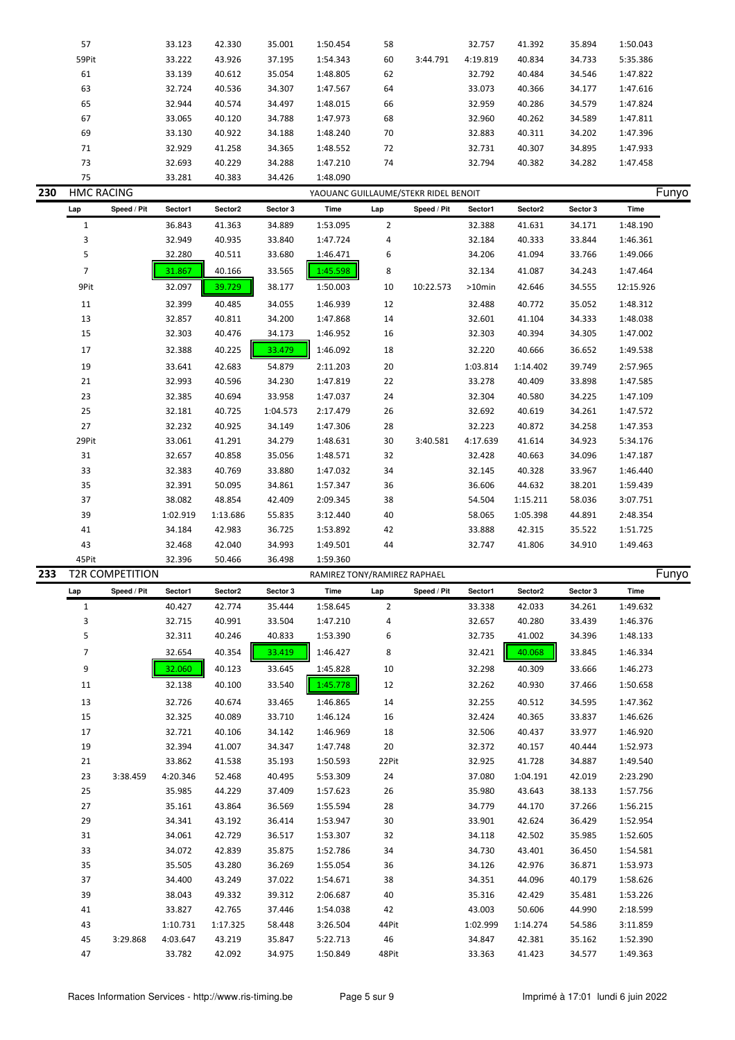|     | 57                |                        | 33.123   | 42.330   | 35.001   | 1:50.454                             | 58             |             | 32.757   | 41.392   | 35.894   | 1:50.043    |  |
|-----|-------------------|------------------------|----------|----------|----------|--------------------------------------|----------------|-------------|----------|----------|----------|-------------|--|
|     | 59Pit             |                        | 33.222   | 43.926   | 37.195   | 1:54.343                             | 60             | 3:44.791    | 4:19.819 | 40.834   | 34.733   | 5:35.386    |  |
|     | 61                |                        | 33.139   | 40.612   | 35.054   | 1:48.805                             | 62             |             | 32.792   | 40.484   | 34.546   | 1:47.822    |  |
|     | 63                |                        | 32.724   | 40.536   | 34.307   | 1:47.567                             | 64             |             | 33.073   | 40.366   | 34.177   | 1:47.616    |  |
|     | 65                |                        | 32.944   | 40.574   | 34.497   | 1:48.015                             | 66             |             | 32.959   | 40.286   | 34.579   | 1:47.824    |  |
|     | 67                |                        | 33.065   | 40.120   | 34.788   | 1:47.973                             | 68             |             | 32.960   | 40.262   | 34.589   | 1:47.811    |  |
|     | 69                |                        | 33.130   | 40.922   | 34.188   | 1:48.240                             | 70             |             | 32.883   | 40.311   | 34.202   | 1:47.396    |  |
|     | 71                |                        | 32.929   | 41.258   | 34.365   | 1:48.552                             | 72             |             | 32.731   | 40.307   | 34.895   | 1:47.933    |  |
|     | 73                |                        | 32.693   | 40.229   | 34.288   | 1:47.210                             | 74             |             | 32.794   | 40.382   | 34.282   | 1:47.458    |  |
|     | 75                |                        | 33.281   | 40.383   | 34.426   | 1:48.090                             |                |             |          |          |          |             |  |
| 230 | <b>HMC RACING</b> |                        |          |          |          | YAOUANC GUILLAUME/STEKR RIDEL BENOIT |                |             |          |          |          | Funyo       |  |
|     | Lap               | Speed / Pit            | Sector1  | Sector2  | Sector 3 | Time                                 | Lap            | Speed / Pit | Sector1  | Sector2  | Sector 3 | <b>Time</b> |  |
|     | $\mathbf{1}$      |                        | 36.843   | 41.363   | 34.889   | 1:53.095                             | $\overline{2}$ |             | 32.388   | 41.631   | 34.171   | 1:48.190    |  |
|     | 3                 |                        | 32.949   | 40.935   | 33.840   | 1:47.724                             | 4              |             | 32.184   | 40.333   | 33.844   | 1:46.361    |  |
|     | 5                 |                        | 32.280   | 40.511   | 33.680   | 1:46.471                             | 6              |             | 34.206   | 41.094   | 33.766   | 1:49.066    |  |
|     | $\overline{7}$    |                        | 31.867   | 40.166   | 33.565   | 1:45.598                             | 8              |             | 32.134   | 41.087   | 34.243   | 1:47.464    |  |
|     | 9Pit              |                        | 32.097   | 39.729   | 38.177   | 1:50.003                             | $10\,$         | 10:22.573   | >10min   | 42.646   | 34.555   | 12:15.926   |  |
|     |                   |                        |          |          |          |                                      |                |             |          |          |          |             |  |
|     | 11                |                        | 32.399   | 40.485   | 34.055   | 1:46.939                             | 12             |             | 32.488   | 40.772   | 35.052   | 1:48.312    |  |
|     | 13                |                        | 32.857   | 40.811   | 34.200   | 1:47.868                             | 14             |             | 32.601   | 41.104   | 34.333   | 1:48.038    |  |
|     | 15                |                        | 32.303   | 40.476   | 34.173   | 1:46.952                             | 16             |             | 32.303   | 40.394   | 34.305   | 1:47.002    |  |
|     | 17                |                        | 32.388   | 40.225   | 33.479   | 1:46.092                             | 18             |             | 32.220   | 40.666   | 36.652   | 1:49.538    |  |
|     | 19                |                        | 33.641   | 42.683   | 54.879   | 2:11.203                             | 20             |             | 1:03.814 | 1:14.402 | 39.749   | 2:57.965    |  |
|     | 21                |                        | 32.993   | 40.596   | 34.230   | 1:47.819                             | 22             |             | 33.278   | 40.409   | 33.898   | 1:47.585    |  |
|     | 23                |                        | 32.385   | 40.694   | 33.958   | 1:47.037                             | 24             |             | 32.304   | 40.580   | 34.225   | 1:47.109    |  |
|     | 25                |                        | 32.181   | 40.725   | 1:04.573 | 2:17.479                             | 26             |             | 32.692   | 40.619   | 34.261   | 1:47.572    |  |
|     | 27                |                        | 32.232   | 40.925   | 34.149   | 1:47.306                             | 28             |             | 32.223   | 40.872   | 34.258   | 1:47.353    |  |
|     | 29Pit             |                        | 33.061   | 41.291   | 34.279   | 1:48.631                             | $30\,$         | 3:40.581    | 4:17.639 | 41.614   | 34.923   | 5:34.176    |  |
|     | 31                |                        | 32.657   | 40.858   | 35.056   | 1:48.571                             | 32             |             | 32.428   | 40.663   | 34.096   | 1:47.187    |  |
|     | 33                |                        | 32.383   | 40.769   | 33.880   | 1:47.032                             | 34             |             | 32.145   | 40.328   | 33.967   | 1:46.440    |  |
|     | 35                |                        | 32.391   | 50.095   | 34.861   | 1:57.347                             | 36             |             | 36.606   | 44.632   | 38.201   | 1:59.439    |  |
|     | 37                |                        | 38.082   | 48.854   | 42.409   | 2:09.345                             | 38             |             | 54.504   | 1:15.211 | 58.036   | 3:07.751    |  |
|     | 39                |                        | 1:02.919 | 1:13.686 | 55.835   | 3:12.440                             | 40             |             | 58.065   | 1:05.398 | 44.891   | 2:48.354    |  |
|     | 41                |                        | 34.184   | 42.983   | 36.725   | 1:53.892                             | 42             |             | 33.888   | 42.315   | 35.522   | 1:51.725    |  |
|     | 43                |                        | 32.468   | 42.040   | 34.993   | 1:49.501                             | 44             |             | 32.747   | 41.806   | 34.910   | 1:49.463    |  |
|     | 45Pit             |                        | 32.396   | 50.466   | 36.498   | 1:59.360                             |                |             |          |          |          |             |  |
| 233 |                   | <b>T2R COMPETITION</b> |          |          |          | RAMIREZ TONY/RAMIREZ RAPHAEL         |                |             |          |          |          | Funyo       |  |
|     |                   | Speed / Pit            | Sector1  | Sector2  | Sector 3 | Time                                 | Lap            | Speed / Pit | Sector1  | Sector2  | Sector 3 | Time        |  |
|     | $\mathbf{1}$      |                        | 40.427   | 42.774   | 35.444   | 1:58.645                             | $\overline{2}$ |             | 33.338   | 42.033   | 34.261   | 1:49.632    |  |
|     | 3                 |                        | 32.715   | 40.991   | 33.504   | 1:47.210                             | 4              |             | 32.657   | 40.280   | 33.439   | 1:46.376    |  |
|     | 5                 |                        | 32.311   | 40.246   | 40.833   | 1:53.390                             | 6              |             | 32.735   | 41.002   | 34.396   | 1:48.133    |  |
|     | $\overline{7}$    |                        | 32.654   | 40.354   | 33.419   | 1:46.427                             | 8              |             | 32.421   | 40.068   | 33.845   | 1:46.334    |  |
|     | 9                 |                        | 32.060   | 40.123   | 33.645   | 1:45.828                             | 10             |             | 32.298   | 40.309   | 33.666   | 1:46.273    |  |
|     | 11                |                        | 32.138   | 40.100   | 33.540   | 1:45.778                             | 12             |             | 32.262   | 40.930   | 37.466   | 1:50.658    |  |
|     | 13                |                        | 32.726   | 40.674   | 33.465   | 1:46.865                             | 14             |             | 32.255   | 40.512   | 34.595   | 1:47.362    |  |
|     | 15                |                        | 32.325   | 40.089   | 33.710   | 1:46.124                             | 16             |             | 32.424   | 40.365   | 33.837   | 1:46.626    |  |
|     | 17                |                        | 32.721   | 40.106   | 34.142   | 1:46.969                             | 18             |             | 32.506   | 40.437   | 33.977   | 1:46.920    |  |
|     | 19                |                        | 32.394   | 41.007   | 34.347   | 1:47.748                             | 20             |             | 32.372   | 40.157   | 40.444   | 1:52.973    |  |
|     | 21                |                        | 33.862   | 41.538   | 35.193   | 1:50.593                             | 22Pit          |             | 32.925   | 41.728   | 34.887   | 1:49.540    |  |
|     |                   |                        |          |          |          |                                      |                |             |          |          |          |             |  |
|     | 23                | 3:38.459               | 4:20.346 | 52.468   | 40.495   | 5:53.309                             | 24             |             | 37.080   | 1:04.191 | 42.019   | 2:23.290    |  |
|     | 25                |                        | 35.985   | 44.229   | 37.409   | 1:57.623                             | 26             |             | 35.980   | 43.643   | 38.133   | 1:57.756    |  |
|     | 27                |                        | 35.161   | 43.864   | 36.569   | 1:55.594                             | 28             |             | 34.779   | 44.170   | 37.266   | 1:56.215    |  |
|     | 29                |                        | 34.341   | 43.192   | 36.414   | 1:53.947                             | 30             |             | 33.901   | 42.624   | 36.429   | 1:52.954    |  |
|     | 31                |                        | 34.061   | 42.729   | 36.517   | 1:53.307                             | 32             |             | 34.118   | 42.502   | 35.985   | 1:52.605    |  |
|     | 33                |                        | 34.072   | 42.839   | 35.875   | 1:52.786                             | 34             |             | 34.730   | 43.401   | 36.450   | 1:54.581    |  |
|     | 35                |                        | 35.505   | 43.280   | 36.269   | 1:55.054                             | 36             |             | 34.126   | 42.976   | 36.871   | 1:53.973    |  |
|     | 37                |                        | 34.400   | 43.249   | 37.022   | 1:54.671                             | 38             |             | 34.351   | 44.096   | 40.179   | 1:58.626    |  |
|     | 39                |                        | 38.043   | 49.332   | 39.312   | 2:06.687                             | 40             |             | 35.316   | 42.429   | 35.481   | 1:53.226    |  |
|     | 41                |                        | 33.827   | 42.765   | 37.446   | 1:54.038                             | 42             |             | 43.003   | 50.606   | 44.990   | 2:18.599    |  |
|     | 43                |                        | 1:10.731 | 1:17.325 | 58.448   | 3:26.504                             | 44Pit          |             | 1:02.999 | 1:14.274 | 54.586   | 3:11.859    |  |
|     | 45                | 3:29.868               | 4:03.647 | 43.219   | 35.847   | 5:22.713                             | 46             |             | 34.847   | 42.381   | 35.162   | 1:52.390    |  |
|     | 47                |                        | 33.782   | 42.092   | 34.975   | 1:50.849                             | 48Pit          |             | 33.363   | 41.423   | 34.577   | 1:49.363    |  |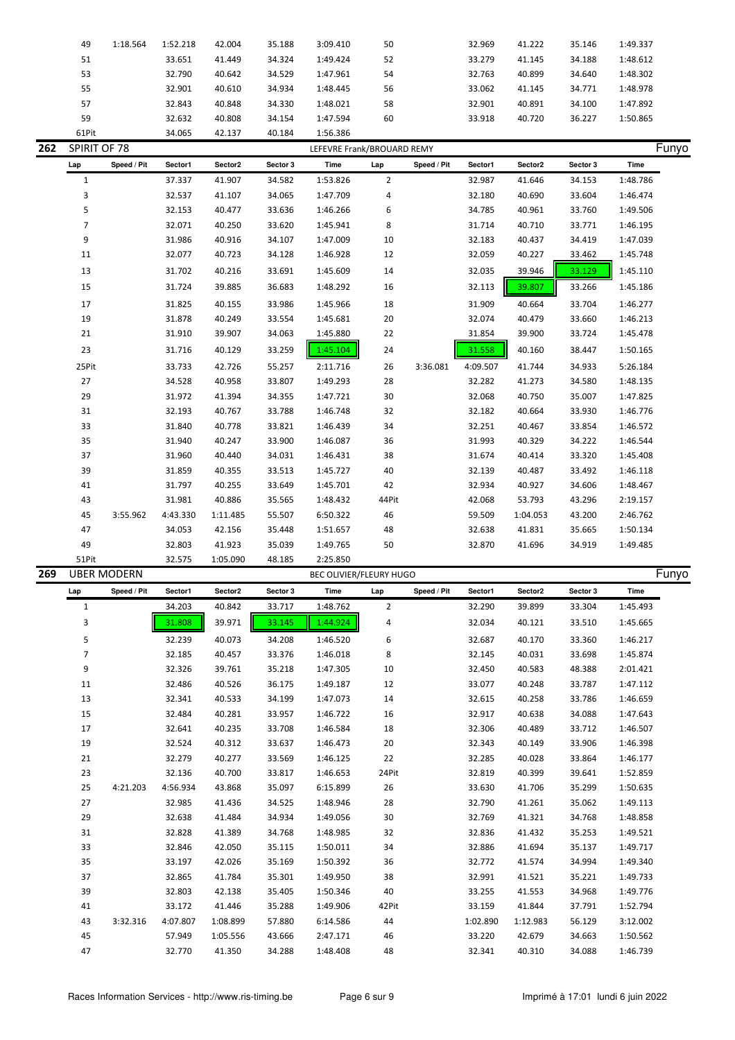|     | 49             | 1:18.564           | 1:52.218 | 42.004   | 35.188   | 3:09.410                   | 50             |             | 32.969   | 41.222              | 35.146          | 1:49.337 |       |
|-----|----------------|--------------------|----------|----------|----------|----------------------------|----------------|-------------|----------|---------------------|-----------------|----------|-------|
|     | 51             |                    | 33.651   | 41.449   | 34.324   | 1:49.424                   | 52             |             | 33.279   | 41.145              | 34.188          | 1:48.612 |       |
|     | 53             |                    | 32.790   | 40.642   | 34.529   | 1:47.961                   | 54             |             | 32.763   | 40.899              | 34.640          | 1:48.302 |       |
|     | 55             |                    | 32.901   | 40.610   | 34.934   | 1:48.445                   | 56             |             | 33.062   | 41.145              | 34.771          | 1:48.978 |       |
|     | 57             |                    | 32.843   | 40.848   | 34.330   | 1:48.021                   | 58             |             | 32.901   | 40.891              | 34.100          | 1:47.892 |       |
|     | 59             |                    | 32.632   | 40.808   | 34.154   | 1:47.594                   | 60             |             | 33.918   | 40.720              | 36.227          | 1:50.865 |       |
|     | 61Pit          |                    | 34.065   | 42.137   | 40.184   | 1:56.386                   |                |             |          |                     |                 |          |       |
| 262 | SPIRIT OF 78   |                    |          |          |          | LEFEVRE Frank/BROUARD REMY |                |             |          |                     |                 |          | Funyo |
|     | Lap            | Speed / Pit        | Sector1  | Sector2  | Sector 3 | Time                       | Lap            | Speed / Pit | Sector1  | Sector2             | Sector 3        | Time     |       |
|     | $\mathbf{1}$   |                    | 37.337   | 41.907   | 34.582   | 1:53.826                   | $\overline{2}$ |             | 32.987   | 41.646              | 34.153          | 1:48.786 |       |
|     | 3              |                    | 32.537   | 41.107   | 34.065   | 1:47.709                   | 4              |             | 32.180   | 40.690              | 33.604          | 1:46.474 |       |
|     | 5              |                    | 32.153   | 40.477   | 33.636   | 1:46.266                   | 6              |             | 34.785   | 40.961              | 33.760          | 1:49.506 |       |
|     | $\overline{7}$ |                    | 32.071   | 40.250   | 33.620   | 1:45.941                   | 8              |             | 31.714   | 40.710              | 33.771          | 1:46.195 |       |
|     | 9              |                    | 31.986   | 40.916   | 34.107   | 1:47.009                   | 10             |             | 32.183   | 40.437              | 34.419          | 1:47.039 |       |
|     | 11             |                    | 32.077   | 40.723   | 34.128   | 1:46.928                   | 12             |             | 32.059   | 40.227              | 33.462          | 1:45.748 |       |
|     | 13             |                    | 31.702   | 40.216   | 33.691   | 1:45.609                   | 14             |             | 32.035   | 39.946              | 33.129          | 1:45.110 |       |
|     |                |                    |          |          |          |                            |                |             |          |                     |                 |          |       |
|     | 15             |                    | 31.724   | 39.885   | 36.683   | 1:48.292                   | 16             |             | 32.113   | 39.807              | 33.266          | 1:45.186 |       |
|     | 17             |                    | 31.825   | 40.155   | 33.986   | 1:45.966                   | 18             |             | 31.909   | 40.664              | 33.704          | 1:46.277 |       |
|     | 19             |                    | 31.878   | 40.249   | 33.554   | 1:45.681                   | 20             |             | 32.074   | 40.479              | 33.660          | 1:46.213 |       |
|     | 21             |                    | 31.910   | 39.907   | 34.063   | 1:45.880                   | 22             |             | 31.854   | 39.900              | 33.724          | 1:45.478 |       |
|     | 23             |                    | 31.716   | 40.129   | 33.259   | 1:45.104                   | 24             |             | 31.558   | 40.160              | 38.447          | 1:50.165 |       |
|     | 25Pit          |                    | 33.733   | 42.726   | 55.257   | 2:11.716                   | 26             | 3:36.081    | 4:09.507 | 41.744              | 34.933          | 5:26.184 |       |
|     | 27             |                    | 34.528   | 40.958   | 33.807   | 1:49.293                   | 28             |             | 32.282   | 41.273              | 34.580          | 1:48.135 |       |
|     | 29             |                    | 31.972   | 41.394   | 34.355   | 1:47.721                   | 30             |             | 32.068   | 40.750              | 35.007          | 1:47.825 |       |
|     | 31             |                    | 32.193   | 40.767   | 33.788   | 1:46.748                   | 32             |             | 32.182   | 40.664              | 33.930          | 1:46.776 |       |
|     | 33             |                    | 31.840   | 40.778   | 33.821   | 1:46.439                   | 34             |             | 32.251   | 40.467              | 33.854          | 1:46.572 |       |
|     | 35             |                    | 31.940   | 40.247   | 33.900   | 1:46.087                   | 36             |             | 31.993   | 40.329              | 34.222          | 1:46.544 |       |
|     | 37             |                    | 31.960   | 40.440   | 34.031   | 1:46.431                   | 38             |             | 31.674   | 40.414              | 33.320          | 1:45.408 |       |
|     | 39             |                    | 31.859   | 40.355   | 33.513   | 1:45.727                   | 40             |             | 32.139   | 40.487              | 33.492          | 1:46.118 |       |
|     | 41             |                    | 31.797   | 40.255   | 33.649   | 1:45.701                   | 42             |             | 32.934   | 40.927              | 34.606          | 1:48.467 |       |
|     |                |                    |          |          |          |                            |                |             |          |                     |                 |          |       |
|     | 43             |                    | 31.981   | 40.886   | 35.565   | 1:48.432                   | 44Pit          |             | 42.068   | 53.793              | 43.296          | 2:19.157 |       |
|     | 45             | 3:55.962           | 4:43.330 | 1:11.485 | 55.507   | 6:50.322                   | 46             |             | 59.509   | 1:04.053            | 43.200          | 2:46.762 |       |
|     | 47             |                    | 34.053   | 42.156   | 35.448   | 1:51.657                   | 48             |             | 32.638   | 41.831              | 35.665          | 1:50.134 |       |
|     | 49             |                    | 32.803   | 41.923   | 35.039   | 1:49.765                   | 50             |             | 32.870   | 41.696              | 34.919          | 1:49.485 |       |
|     | 51Pit          |                    | 32.575   | 1:05.090 | 48.185   | 2:25.850                   |                |             |          |                     |                 |          |       |
| 269 |                | <b>UBER MODERN</b> |          |          |          | BEC OLIVIER/FLEURY HUGO    |                |             |          |                     |                 |          | Funyo |
|     | Lap            | speed / Pit        | Sector1  | Sector2  | Sector 3 | Time                       | Lap            | Speed / Pit | Sector   | Sector <sub>2</sub> | <b>Sector</b> 3 | Time     |       |
|     | 1              |                    | 34.203   | 40.842   | 33.717   | 1:48.762                   | $\overline{2}$ |             | 32.290   | 39.899              | 33.304          | 1:45.493 |       |
|     | 3              |                    | 31.808   | 39.971   | 33.145   | 1:44.924                   | 4              |             | 32.034   | 40.121              | 33.510          | 1:45.665 |       |
|     | 5              |                    | 32.239   | 40.073   | 34.208   | 1:46.520                   | 6              |             | 32.687   | 40.170              | 33.360          | 1:46.217 |       |
|     | $\overline{7}$ |                    | 32.185   | 40.457   | 33.376   | 1:46.018                   | 8              |             | 32.145   | 40.031              | 33.698          | 1:45.874 |       |
|     | 9              |                    | 32.326   | 39.761   | 35.218   | 1:47.305                   | 10             |             | 32.450   | 40.583              | 48.388          | 2:01.421 |       |
|     | 11             |                    | 32.486   | 40.526   | 36.175   | 1:49.187                   | 12             |             | 33.077   | 40.248              | 33.787          | 1:47.112 |       |
|     | 13             |                    | 32.341   | 40.533   | 34.199   | 1:47.073                   | 14             |             | 32.615   | 40.258              | 33.786          | 1:46.659 |       |
|     | 15             |                    | 32.484   | 40.281   | 33.957   | 1:46.722                   | 16             |             | 32.917   | 40.638              | 34.088          | 1:47.643 |       |
|     | 17             |                    | 32.641   | 40.235   | 33.708   | 1:46.584                   | 18             |             | 32.306   | 40.489              | 33.712          | 1:46.507 |       |
|     | 19             |                    | 32.524   | 40.312   | 33.637   | 1:46.473                   | 20             |             | 32.343   | 40.149              | 33.906          | 1:46.398 |       |
|     | 21             |                    | 32.279   | 40.277   | 33.569   | 1:46.125                   | 22             |             | 32.285   | 40.028              | 33.864          | 1:46.177 |       |
|     | 23             |                    | 32.136   | 40.700   | 33.817   | 1:46.653                   | 24Pit          |             | 32.819   | 40.399              | 39.641          | 1:52.859 |       |
|     | 25             | 4:21.203           | 4:56.934 | 43.868   | 35.097   | 6:15.899                   | 26             |             | 33.630   | 41.706              | 35.299          | 1:50.635 |       |
|     | 27             |                    | 32.985   | 41.436   | 34.525   | 1:48.946                   | 28             |             | 32.790   | 41.261              | 35.062          | 1:49.113 |       |
|     | 29             |                    | 32.638   | 41.484   | 34.934   | 1:49.056                   | 30             |             | 32.769   | 41.321              | 34.768          | 1:48.858 |       |
|     | 31             |                    | 32.828   | 41.389   | 34.768   | 1:48.985                   | 32             |             | 32.836   | 41.432              | 35.253          | 1:49.521 |       |
|     | 33             |                    | 32.846   | 42.050   | 35.115   | 1:50.011                   | 34             |             | 32.886   | 41.694              | 35.137          | 1:49.717 |       |
|     | 35             |                    | 33.197   | 42.026   | 35.169   | 1:50.392                   | 36             |             | 32.772   | 41.574              | 34.994          | 1:49.340 |       |
|     | 37             |                    | 32.865   | 41.784   | 35.301   | 1:49.950                   | 38             |             | 32.991   | 41.521              | 35.221          | 1:49.733 |       |
|     | 39             |                    | 32.803   | 42.138   | 35.405   | 1:50.346                   | 40             |             | 33.255   | 41.553              | 34.968          | 1:49.776 |       |
|     | 41             |                    | 33.172   | 41.446   | 35.288   | 1:49.906                   | 42Pit          |             | 33.159   | 41.844              | 37.791          | 1:52.794 |       |
|     | 43             | 3:32.316           | 4:07.807 | 1:08.899 | 57.880   | 6:14.586                   | 44             |             | 1:02.890 | 1:12.983            | 56.129          | 3:12.002 |       |
|     | 45             |                    | 57.949   | 1:05.556 | 43.666   | 2:47.171                   | 46             |             | 33.220   | 42.679              | 34.663          | 1:50.562 |       |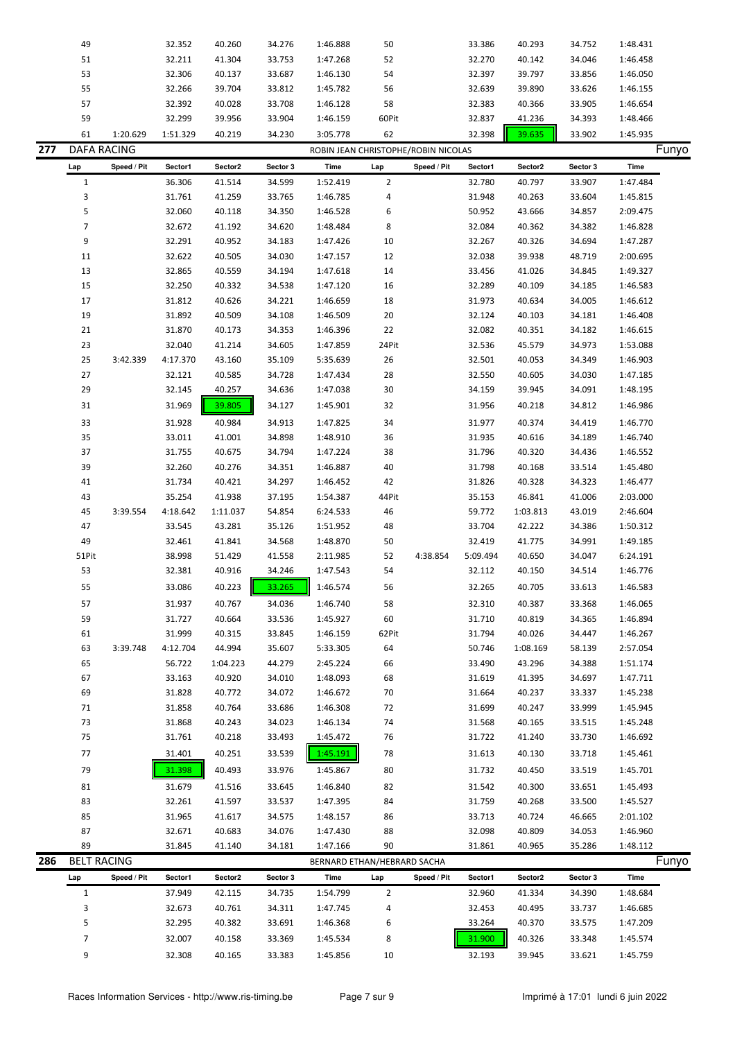|     | 49                 |             | 32.352   | 40.260   | 34.276   | 1:46.888                            | 50             |             | 33.386   | 40.293   | 34.752   | 1:48.431    |
|-----|--------------------|-------------|----------|----------|----------|-------------------------------------|----------------|-------------|----------|----------|----------|-------------|
|     | 51                 |             | 32.211   | 41.304   | 33.753   | 1:47.268                            | 52             |             | 32.270   | 40.142   | 34.046   | 1:46.458    |
|     | 53                 |             | 32.306   | 40.137   | 33.687   | 1:46.130                            | 54             |             | 32.397   | 39.797   | 33.856   | 1:46.050    |
|     | 55                 |             | 32.266   | 39.704   | 33.812   | 1:45.782                            | 56             |             | 32.639   | 39.890   | 33.626   | 1:46.155    |
|     | 57                 |             | 32.392   | 40.028   | 33.708   | 1:46.128                            | 58             |             | 32.383   | 40.366   | 33.905   | 1:46.654    |
|     | 59                 |             | 32.299   | 39.956   | 33.904   | 1:46.159                            | 60Pit          |             | 32.837   | 41.236   | 34.393   | 1:48.466    |
|     |                    |             |          |          |          |                                     |                |             |          |          |          |             |
|     | 61                 | 1:20.629    | 1:51.329 | 40.219   | 34.230   | 3:05.778                            | 62             |             | 32.398   | 39.635   | 33.902   | 1:45.935    |
| 277 | <b>DAFA RACING</b> |             |          |          |          | ROBIN JEAN CHRISTOPHE/ROBIN NICOLAS |                |             |          |          |          | Funyo       |
|     | Lap                | Speed / Pit | Sector1  | Sector2  | Sector 3 | Time                                | Lap            | Speed / Pit | Sector1  | Sector2  | Sector 3 | <b>Time</b> |
|     | $\mathbf{1}$       |             | 36.306   | 41.514   | 34.599   | 1:52.419                            | $\overline{2}$ |             | 32.780   | 40.797   | 33.907   | 1:47.484    |
|     | 3                  |             | 31.761   | 41.259   | 33.765   | 1:46.785                            | 4              |             | 31.948   | 40.263   | 33.604   | 1:45.815    |
|     | 5                  |             | 32.060   | 40.118   | 34.350   | 1:46.528                            | 6              |             | 50.952   | 43.666   | 34.857   | 2:09.475    |
|     | $\overline{7}$     |             | 32.672   | 41.192   | 34.620   | 1:48.484                            | 8              |             | 32.084   | 40.362   | 34.382   | 1:46.828    |
|     | 9                  |             | 32.291   | 40.952   | 34.183   | 1:47.426                            | 10             |             | 32.267   | 40.326   | 34.694   | 1:47.287    |
|     | 11                 |             | 32.622   | 40.505   | 34.030   | 1:47.157                            | 12             |             | 32.038   | 39.938   | 48.719   | 2:00.695    |
|     | 13                 |             | 32.865   | 40.559   | 34.194   | 1:47.618                            | 14             |             | 33.456   | 41.026   | 34.845   | 1:49.327    |
|     | 15                 |             | 32.250   | 40.332   | 34.538   | 1:47.120                            | 16             |             | 32.289   | 40.109   | 34.185   | 1:46.583    |
|     | 17                 |             | 31.812   | 40.626   | 34.221   | 1:46.659                            | 18             |             | 31.973   | 40.634   | 34.005   | 1:46.612    |
|     | 19                 |             | 31.892   | 40.509   | 34.108   | 1:46.509                            | 20             |             | 32.124   | 40.103   | 34.181   | 1:46.408    |
|     |                    |             |          |          |          |                                     |                |             |          |          |          |             |
|     | 21                 |             | 31.870   | 40.173   | 34.353   | 1:46.396                            | 22             |             | 32.082   | 40.351   | 34.182   | 1:46.615    |
|     | 23                 |             | 32.040   | 41.214   | 34.605   | 1:47.859                            | 24Pit          |             | 32.536   | 45.579   | 34.973   | 1:53.088    |
|     | 25                 | 3:42.339    | 4:17.370 | 43.160   | 35.109   | 5:35.639                            | 26             |             | 32.501   | 40.053   | 34.349   | 1:46.903    |
|     | 27                 |             | 32.121   | 40.585   | 34.728   | 1:47.434                            | 28             |             | 32.550   | 40.605   | 34.030   | 1:47.185    |
|     | 29                 |             | 32.145   | 40.257   | 34.636   | 1:47.038                            | 30             |             | 34.159   | 39.945   | 34.091   | 1:48.195    |
|     | 31                 |             | 31.969   | 39.805   | 34.127   | 1:45.901                            | 32             |             | 31.956   | 40.218   | 34.812   | 1:46.986    |
|     | 33                 |             | 31.928   | 40.984   | 34.913   | 1:47.825                            | 34             |             | 31.977   | 40.374   | 34.419   | 1:46.770    |
|     | 35                 |             | 33.011   | 41.001   | 34.898   | 1:48.910                            | 36             |             | 31.935   | 40.616   | 34.189   | 1:46.740    |
|     | 37                 |             | 31.755   | 40.675   | 34.794   | 1:47.224                            | 38             |             | 31.796   | 40.320   | 34.436   | 1:46.552    |
|     | 39                 |             | 32.260   | 40.276   | 34.351   | 1:46.887                            | 40             |             | 31.798   | 40.168   | 33.514   | 1:45.480    |
|     | 41                 |             | 31.734   | 40.421   | 34.297   | 1:46.452                            | 42             |             | 31.826   | 40.328   | 34.323   | 1:46.477    |
|     | 43                 |             | 35.254   | 41.938   | 37.195   | 1:54.387                            | 44Pit          |             | 35.153   | 46.841   | 41.006   | 2:03.000    |
|     | 45                 | 3:39.554    | 4:18.642 | 1:11.037 | 54.854   | 6:24.533                            | 46             |             | 59.772   | 1:03.813 | 43.019   | 2:46.604    |
|     | 47                 |             | 33.545   | 43.281   | 35.126   | 1:51.952                            | 48             |             | 33.704   | 42.222   | 34.386   | 1:50.312    |
|     | 49                 |             | 32.461   | 41.841   | 34.568   | 1:48.870                            | 50             |             | 32.419   | 41.775   | 34.991   | 1:49.185    |
|     |                    |             |          |          |          |                                     |                | 4:38.854    |          |          |          |             |
|     | 51Pit<br>53        |             | 38.998   | 51.429   | 41.558   | 2:11.985                            | 52             |             | 5:09.494 | 40.650   | 34.047   | 6:24.191    |
|     |                    |             | 32.381   | 40.916   | 34.246   | 1:47.543                            | 54             |             | 32.112   | 40.150   | 34.514   | 1:46.776    |
|     | 55                 |             | 33.086   | 40.223   | 33.265   | 1:46.574                            | 56             |             | 32.265   | 40.705   | 33.613   | 1:46.583    |
|     | 57                 |             | 31.937   | 40.767   | 34.036   | 1:46.740                            | 58             |             | 32.310   | 40.387   | 33.368   | 1:46.065    |
|     | 59                 |             | 31.727   | 40.664   | 33.536   | 1:45.927                            | 60             |             | 31.710   | 40.819   | 34.365   | 1:46.894    |
|     | 61                 |             | 31.999   | 40.315   | 33.845   | 1:46.159                            | 62Pit          |             | 31.794   | 40.026   | 34.447   | 1:46.267    |
|     | 63                 | 3:39.748    | 4:12.704 | 44.994   | 35.607   | 5:33.305                            | 64             |             | 50.746   | 1:08.169 | 58.139   | 2:57.054    |
|     | 65                 |             | 56.722   | 1:04.223 | 44.279   | 2:45.224                            | 66             |             | 33.490   | 43.296   | 34.388   | 1:51.174    |
|     | 67                 |             | 33.163   | 40.920   | 34.010   | 1:48.093                            | 68             |             | 31.619   | 41.395   | 34.697   | 1:47.711    |
|     | 69                 |             | 31.828   | 40.772   | 34.072   | 1:46.672                            | 70             |             | 31.664   | 40.237   | 33.337   | 1:45.238    |
|     | 71                 |             | 31.858   | 40.764   | 33.686   | 1:46.308                            | 72             |             | 31.699   | 40.247   | 33.999   | 1:45.945    |
|     | 73                 |             | 31.868   | 40.243   | 34.023   | 1:46.134                            | 74             |             | 31.568   | 40.165   | 33.515   | 1:45.248    |
|     | 75                 |             | 31.761   | 40.218   | 33.493   | 1:45.472                            | 76             |             | 31.722   | 41.240   | 33.730   | 1:46.692    |
|     | 77                 |             | 31.401   | 40.251   | 33.539   | 1:45.191                            | 78             |             | 31.613   | 40.130   | 33.718   | 1:45.461    |
|     |                    |             |          |          |          |                                     |                |             |          |          |          |             |
|     | 79                 |             | 31.398   | 40.493   | 33.976   | 1:45.867                            | 80             |             | 31.732   | 40.450   | 33.519   | 1:45.701    |
|     | 81                 |             | 31.679   | 41.516   | 33.645   | 1:46.840                            | 82             |             | 31.542   | 40.300   | 33.651   | 1:45.493    |
|     | 83                 |             | 32.261   | 41.597   | 33.537   | 1:47.395                            | 84             |             | 31.759   | 40.268   | 33.500   | 1:45.527    |
|     | 85                 |             | 31.965   | 41.617   | 34.575   | 1:48.157                            | 86             |             | 33.713   | 40.724   | 46.665   | 2:01.102    |
|     | 87                 |             | 32.671   | 40.683   | 34.076   | 1:47.430                            | 88             |             | 32.098   | 40.809   | 34.053   | 1:46.960    |
|     | 89                 |             | 31.845   | 41.140   | 34.181   | 1:47.166                            | 90             |             | 31.861   | 40.965   | 35.286   | 1:48.112    |
| 286 | <b>BELT RACING</b> |             |          |          |          | BERNARD ETHAN/HEBRARD SACHA         |                |             |          |          |          | Funyo       |
|     | Lap                | Speed / Pit | Sector1  | Sector2  | Sector 3 | Time                                | Lap            | Speed / Pit | Sector1  | Sector2  | Sector 3 | <b>Time</b> |
|     | $\mathbf{1}$       |             | 37.949   | 42.115   | 34.735   | 1:54.799                            | $\overline{2}$ |             | 32.960   | 41.334   | 34.390   | 1:48.684    |
|     | 3                  |             | 32.673   | 40.761   | 34.311   | 1:47.745                            | 4              |             | 32.453   | 40.495   | 33.737   | 1:46.685    |
|     | 5                  |             | 32.295   | 40.382   | 33.691   | 1:46.368                            | 6              |             | 33.264   | 40.370   | 33.575   | 1:47.209    |
|     | 7                  |             |          |          |          |                                     | 8              |             | 31.900   |          |          |             |
|     |                    |             | 32.007   | 40.158   | 33.369   | 1:45.534                            |                |             |          | 40.326   | 33.348   | 1:45.574    |
|     | 9                  |             | 32.308   | 40.165   | 33.383   | 1:45.856                            | 10             |             | 32.193   | 39.945   | 33.621   | 1:45.759    |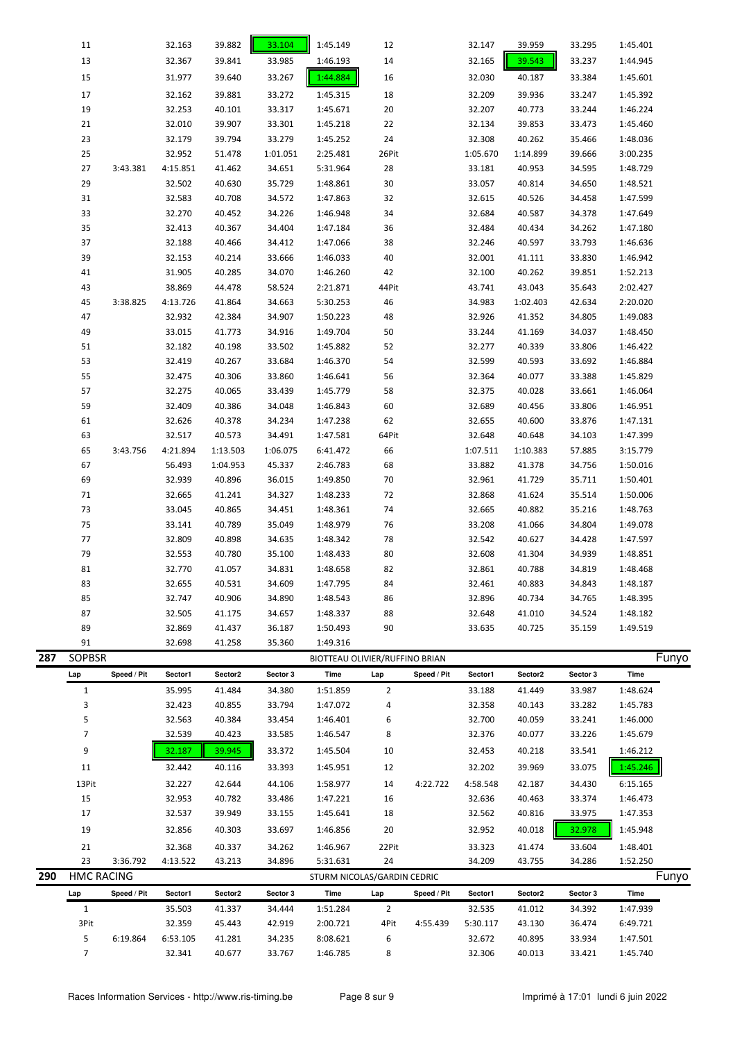|     | 11                |             | 32.163   | 39.882   | 33.104   | 1:45.149                       | 12             |             | 32.147   | 39.959   | 33.295   | 1:45.401 |       |
|-----|-------------------|-------------|----------|----------|----------|--------------------------------|----------------|-------------|----------|----------|----------|----------|-------|
|     | 13                |             | 32.367   | 39.841   | 33.985   | 1:46.193                       | 14             |             | 32.165   | 39.543   | 33.237   | 1:44.945 |       |
|     | 15                |             | 31.977   | 39.640   | 33.267   | 1:44.884                       | 16             |             | 32.030   | 40.187   | 33.384   | 1:45.601 |       |
|     | 17                |             | 32.162   | 39.881   | 33.272   | 1:45.315                       | 18             |             | 32.209   | 39.936   | 33.247   | 1:45.392 |       |
|     | 19                |             | 32.253   | 40.101   | 33.317   | 1:45.671                       | 20             |             | 32.207   | 40.773   | 33.244   | 1:46.224 |       |
|     | 21                |             | 32.010   | 39.907   | 33.301   | 1:45.218                       | 22             |             | 32.134   | 39.853   | 33.473   | 1:45.460 |       |
|     | 23                |             | 32.179   | 39.794   | 33.279   | 1:45.252                       | 24             |             | 32.308   | 40.262   | 35.466   | 1:48.036 |       |
|     | 25                |             | 32.952   | 51.478   | 1:01.051 | 2:25.481                       | 26Pit          |             | 1:05.670 | 1:14.899 | 39.666   | 3:00.235 |       |
|     | 27                | 3:43.381    | 4:15.851 | 41.462   | 34.651   | 5:31.964                       | 28             |             | 33.181   | 40.953   | 34.595   | 1:48.729 |       |
|     | 29                |             | 32.502   | 40.630   | 35.729   | 1:48.861                       | 30             |             | 33.057   | 40.814   | 34.650   | 1:48.521 |       |
|     | 31                |             | 32.583   | 40.708   | 34.572   | 1:47.863                       | 32             |             | 32.615   | 40.526   | 34.458   | 1:47.599 |       |
|     | 33                |             | 32.270   | 40.452   | 34.226   | 1:46.948                       | 34             |             | 32.684   | 40.587   | 34.378   | 1:47.649 |       |
|     | 35                |             | 32.413   | 40.367   | 34.404   | 1:47.184                       | 36             |             | 32.484   | 40.434   | 34.262   | 1:47.180 |       |
|     | 37                |             | 32.188   | 40.466   |          | 1:47.066                       | 38             |             | 32.246   | 40.597   | 33.793   | 1:46.636 |       |
|     | 39                |             |          |          | 34.412   |                                |                |             |          |          |          |          |       |
|     |                   |             | 32.153   | 40.214   | 33.666   | 1:46.033                       | 40             |             | 32.001   | 41.111   | 33.830   | 1:46.942 |       |
|     | 41                |             | 31.905   | 40.285   | 34.070   | 1:46.260                       | 42             |             | 32.100   | 40.262   | 39.851   | 1:52.213 |       |
|     | 43                |             | 38.869   | 44.478   | 58.524   | 2:21.871                       | 44Pit          |             | 43.741   | 43.043   | 35.643   | 2:02.427 |       |
|     | 45                | 3:38.825    | 4:13.726 | 41.864   | 34.663   | 5:30.253                       | 46             |             | 34.983   | 1:02.403 | 42.634   | 2:20.020 |       |
|     | 47                |             | 32.932   | 42.384   | 34.907   | 1:50.223                       | 48             |             | 32.926   | 41.352   | 34.805   | 1:49.083 |       |
|     | 49                |             | 33.015   | 41.773   | 34.916   | 1:49.704                       | 50             |             | 33.244   | 41.169   | 34.037   | 1:48.450 |       |
|     | 51                |             | 32.182   | 40.198   | 33.502   | 1:45.882                       | 52             |             | 32.277   | 40.339   | 33.806   | 1:46.422 |       |
|     | 53                |             | 32.419   | 40.267   | 33.684   | 1:46.370                       | 54             |             | 32.599   | 40.593   | 33.692   | 1:46.884 |       |
|     | 55                |             | 32.475   | 40.306   | 33.860   | 1:46.641                       | 56             |             | 32.364   | 40.077   | 33.388   | 1:45.829 |       |
|     | 57                |             | 32.275   | 40.065   | 33.439   | 1:45.779                       | 58             |             | 32.375   | 40.028   | 33.661   | 1:46.064 |       |
|     | 59                |             | 32.409   | 40.386   | 34.048   | 1:46.843                       | 60             |             | 32.689   | 40.456   | 33.806   | 1:46.951 |       |
|     | 61                |             | 32.626   | 40.378   | 34.234   | 1:47.238                       | 62             |             | 32.655   | 40.600   | 33.876   | 1:47.131 |       |
|     | 63                |             | 32.517   | 40.573   | 34.491   | 1:47.581                       | 64Pit          |             | 32.648   | 40.648   | 34.103   | 1:47.399 |       |
|     | 65                | 3:43.756    | 4:21.894 | 1:13.503 | 1:06.075 | 6:41.472                       | 66             |             | 1:07.511 | 1:10.383 | 57.885   | 3:15.779 |       |
|     | 67                |             | 56.493   | 1:04.953 | 45.337   | 2:46.783                       | 68             |             | 33.882   | 41.378   | 34.756   | 1:50.016 |       |
|     | 69                |             | 32.939   | 40.896   | 36.015   | 1:49.850                       | 70             |             | 32.961   | 41.729   | 35.711   | 1:50.401 |       |
|     | 71                |             | 32.665   | 41.241   | 34.327   | 1:48.233                       | 72             |             | 32.868   | 41.624   | 35.514   | 1:50.006 |       |
|     | 73                |             | 33.045   | 40.865   | 34.451   | 1:48.361                       | 74             |             | 32.665   | 40.882   | 35.216   | 1:48.763 |       |
|     | 75                |             | 33.141   | 40.789   | 35.049   | 1:48.979                       | 76             |             | 33.208   | 41.066   | 34.804   | 1:49.078 |       |
|     | 77                |             | 32.809   | 40.898   | 34.635   | 1:48.342                       | 78             |             | 32.542   | 40.627   | 34.428   | 1:47.597 |       |
|     | 79                |             | 32.553   | 40.780   | 35.100   | 1:48.433                       | 80             |             | 32.608   | 41.304   | 34.939   | 1:48.851 |       |
|     | 81                |             | 32.770   | 41.057   | 34.831   | 1:48.658                       | 82             |             | 32.861   | 40.788   | 34.819   | 1:48.468 |       |
|     | 83                |             | 32.655   | 40.531   | 34.609   | 1:47.795                       | 84             |             | 32.461   | 40.883   | 34.843   | 1:48.187 |       |
|     | 85                |             | 32.747   | 40.906   | 34.890   | 1:48.543                       | 86             |             | 32.896   | 40.734   | 34.765   | 1:48.395 |       |
|     | 87                |             | 32.505   | 41.175   | 34.657   | 1:48.337                       | 88             |             | 32.648   | 41.010   | 34.524   | 1:48.182 |       |
|     | 89                |             | 32.869   | 41.437   | 36.187   | 1:50.493                       | 90             |             | 33.635   | 40.725   | 35.159   | 1:49.519 |       |
|     | 91                |             | 32.698   | 41.258   | 35.360   | 1:49.316                       |                |             |          |          |          |          |       |
| 287 | <b>SOPBSR</b>     |             |          |          |          | BIOTTEAU OLIVIER/RUFFINO BRIAN |                |             |          |          |          |          | Funyo |
|     | Lap               | Speed / Pit | Sector1  | Sector2  | Sector 3 | Time                           | Lap            | Speed / Pit | Sector1  | Sector2  | Sector 3 | Time     |       |
|     | $\mathbf{1}$      |             | 35.995   | 41.484   | 34.380   | 1:51.859                       | $\overline{2}$ |             | 33.188   | 41.449   | 33.987   | 1:48.624 |       |
|     | 3                 |             | 32.423   | 40.855   | 33.794   | 1:47.072                       | 4              |             | 32.358   | 40.143   | 33.282   | 1:45.783 |       |
|     | 5                 |             | 32.563   | 40.384   | 33.454   | 1:46.401                       | 6              |             | 32.700   | 40.059   | 33.241   | 1:46.000 |       |
|     | 7                 |             | 32.539   | 40.423   | 33.585   | 1:46.547                       | 8              |             | 32.376   | 40.077   | 33.226   | 1:45.679 |       |
|     | 9                 |             | 32.187   | 39.945   | 33.372   | 1:45.504                       | 10             |             | 32.453   | 40.218   | 33.541   | 1:46.212 |       |
|     |                   |             |          |          |          |                                |                |             |          |          |          |          |       |
|     | 11                |             | 32.442   | 40.116   | 33.393   | 1:45.951                       | 12             |             | 32.202   | 39.969   | 33.075   | 1:45.246 |       |
|     | 13Pit             |             | 32.227   | 42.644   | 44.106   | 1:58.977                       | 14             | 4:22.722    | 4:58.548 | 42.187   | 34.430   | 6:15.165 |       |
|     | 15                |             | 32.953   | 40.782   | 33.486   | 1:47.221                       | 16             |             | 32.636   | 40.463   | 33.374   | 1:46.473 |       |
|     | 17                |             | 32.537   | 39.949   | 33.155   | 1:45.641                       | 18             |             | 32.562   | 40.816   | 33.975   | 1:47.353 |       |
|     | 19                |             | 32.856   | 40.303   | 33.697   | 1:46.856                       | 20             |             | 32.952   | 40.018   | 32.978   | 1:45.948 |       |
|     | 21                |             | 32.368   | 40.337   | 34.262   | 1:46.967                       | 22Pit          |             | 33.323   | 41.474   | 33.604   | 1:48.401 |       |
|     | 23                | 3:36.792    | 4:13.522 | 43.213   | 34.896   | 5:31.631                       | 24             |             | 34.209   | 43.755   | 34.286   | 1:52.250 |       |
| 290 | <b>HMC RACING</b> |             |          |          |          | STURM NICOLAS/GARDIN CEDRIC    |                |             |          |          |          |          | Funyo |
|     | Lap               | Speed / Pit | Sector1  | Sector2  | Sector 3 | Time                           | Lap            | Speed / Pit | Sector1  | Sector2  | Sector 3 | Time     |       |
|     | $\mathbf{1}$      |             | 35.503   | 41.337   | 34.444   | 1:51.284                       | $\overline{2}$ |             | 32.535   | 41.012   | 34.392   | 1:47.939 |       |
|     | 3Pit              |             | 32.359   | 45.443   | 42.919   | 2:00.721                       | 4Pit           | 4:55.439    | 5:30.117 | 43.130   | 36.474   | 6:49.721 |       |
|     | 5                 | 6:19.864    | 6:53.105 | 41.281   | 34.235   | 8:08.621                       | 6              |             | 32.672   | 40.895   | 33.934   | 1:47.501 |       |
|     | 7                 |             | 32.341   | 40.677   | 33.767   | 1:46.785                       | 8              |             | 32.306   | 40.013   | 33.421   | 1:45.740 |       |
|     |                   |             |          |          |          |                                |                |             |          |          |          |          |       |